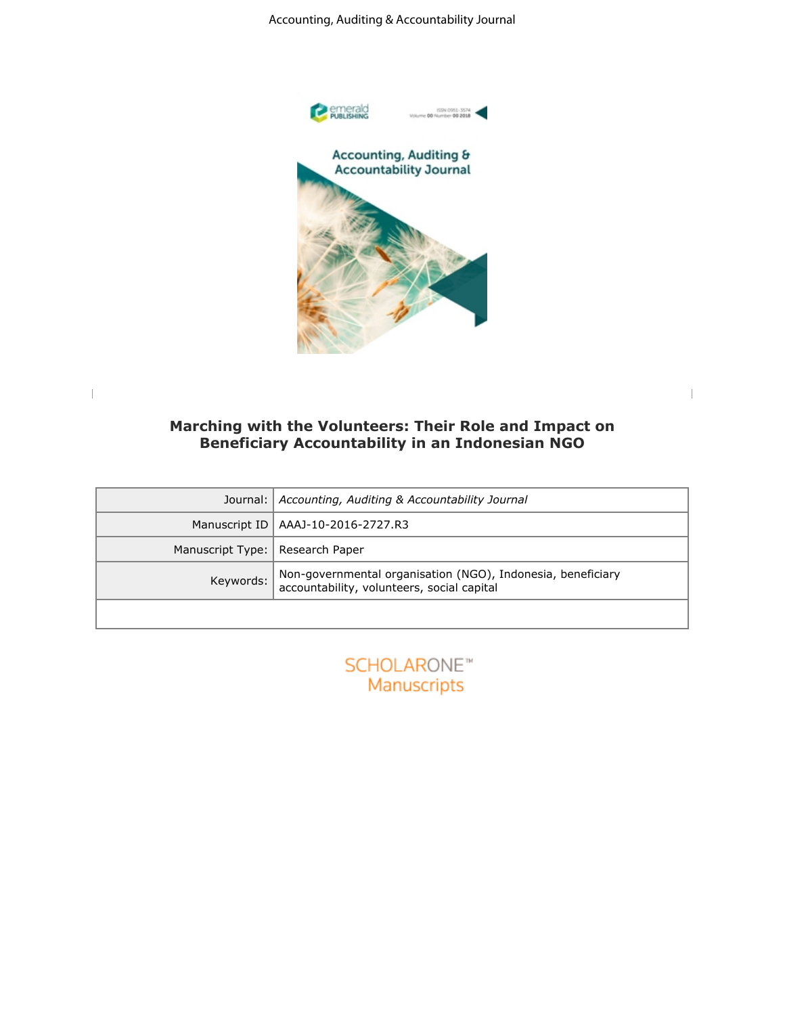

## **Marching with the Volunteers: Their Role and Impact on Beneficiary Accountability in an Indonesian NGO**

|                                                           | Accounting, Auditing & Accountability Journal                                                                                                                               |  |  |  |  |  |  |
|-----------------------------------------------------------|-----------------------------------------------------------------------------------------------------------------------------------------------------------------------------|--|--|--|--|--|--|
|                                                           | emerald<br>Publishing<br>ISSN 0951-3574                                                                                                                                     |  |  |  |  |  |  |
|                                                           | Accounting, Auditing &<br><b>Accountability Journal</b><br>Marching with the Volunteers: Their Role and Impact on<br><b>Beneficiary Accountability in an Indonesian NGO</b> |  |  |  |  |  |  |
| Journal:<br>Accounting, Auditing & Accountability Journal |                                                                                                                                                                             |  |  |  |  |  |  |
| Manuscript ID                                             | AAAJ-10-2016-2727.R3                                                                                                                                                        |  |  |  |  |  |  |
| Manuscript Type:   Research Paper                         |                                                                                                                                                                             |  |  |  |  |  |  |
| Keywords:                                                 | Non-governmental organisation (NGO), Indonesia, beneficiary<br>accountability, volunteers, social capital                                                                   |  |  |  |  |  |  |
|                                                           |                                                                                                                                                                             |  |  |  |  |  |  |
|                                                           | <b>SCHOLARONE™</b><br>Manuscripts                                                                                                                                           |  |  |  |  |  |  |
|                                                           |                                                                                                                                                                             |  |  |  |  |  |  |
|                                                           |                                                                                                                                                                             |  |  |  |  |  |  |
|                                                           |                                                                                                                                                                             |  |  |  |  |  |  |
|                                                           |                                                                                                                                                                             |  |  |  |  |  |  |
|                                                           |                                                                                                                                                                             |  |  |  |  |  |  |
|                                                           |                                                                                                                                                                             |  |  |  |  |  |  |

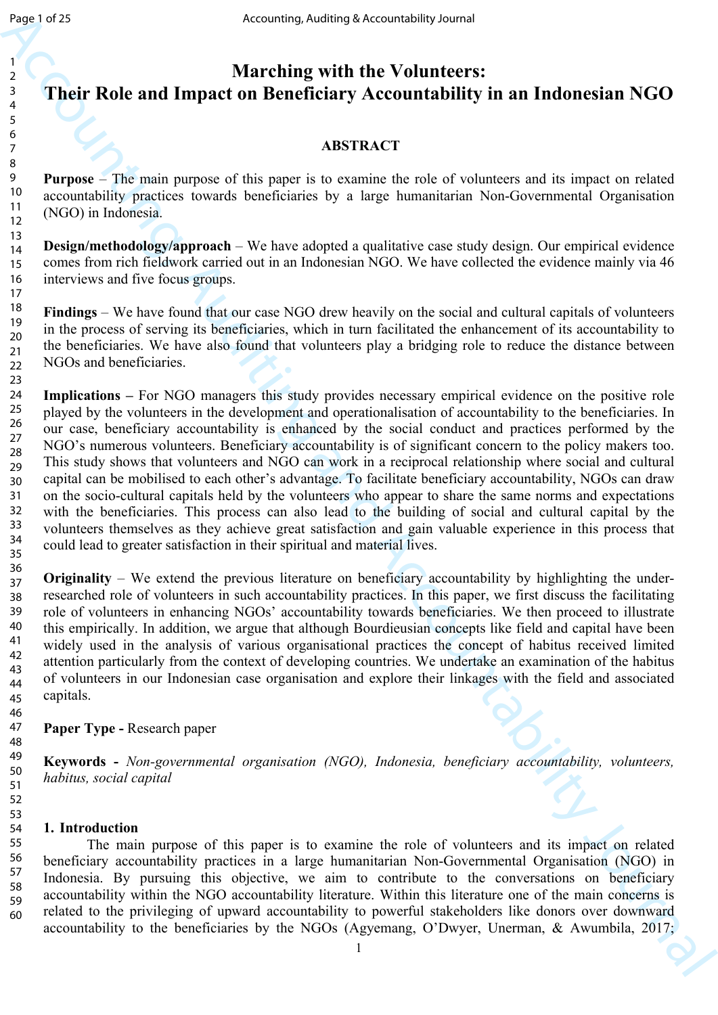23

# **Marching with the Volunteers: Their Role and Impact on Beneficiary Accountability in an Indonesian NGO**

## **ABSTRACT**

**Purpose** – The main purpose of this paper is to examine the role of volunteers and its impact on related accountability practices towards beneficiaries by a large humanitarian Non-Governmental Organisation (NGO) in Indonesia.

**Design/methodology/approach** – We have adopted a qualitative case study design. Our empirical evidence comes from rich fieldwork carried out in an Indonesian NGO. We have collected the evidence mainly via 46 interviews and five focus groups.

**Findings** – We have found that our case NGO drew heavily on the social and cultural capitals of volunteers in the process of serving its beneficiaries, which in turn facilitated the enhancement of its accountability to the beneficiaries. We have also found that volunteers play a bridging role to reduce the distance between NGOs and beneficiaries. 18 19 20 21 22

Accounting states of the **Markov Controlling Schemesters:**<br> **Accounting with the Volunteers:**<br> **Accounting with the Volunteers:**<br> **Account Account Account Schemesters** Account Schemester Accountability in an Indonesian NG **Implications –** For NGO managers this study provides necessary empirical evidence on the positive role played by the volunteers in the development and operationalisation of accountability to the beneficiaries. In our case, beneficiary accountability is enhanced by the social conduct and practices performed by the NGO's numerous volunteers. Beneficiary accountability is of significant concern to the policy makers too. This study shows that volunteers and NGO can work in a reciprocal relationship where social and cultural capital can be mobilised to each other's advantage. To facilitate beneficiary accountability, NGOs can draw on the socio-cultural capitals held by the volunteers who appear to share the same norms and expectations with the beneficiaries. This process can also lead to the building of social and cultural capital by the volunteers themselves as they achieve great satisfaction and gain valuable experience in this process that could lead to greater satisfaction in their spiritual and material lives. 24 25 26 27 28 29 30 31 32 33 34 35

**Originality** – We extend the previous literature on beneficiary accountability by highlighting the underresearched role of volunteers in such accountability practices. In this paper, we first discuss the facilitating role of volunteers in enhancing NGOs' accountability towards beneficiaries. We then proceed to illustrate this empirically. In addition, we argue that although Bourdieusian concepts like field and capital have been widely used in the analysis of various organisational practices the concept of habitus received limited attention particularly from the context of developing countries. We undertake an examination of the habitus of volunteers in our Indonesian case organisation and explore their linkages with the field and associated capitals. 36 37 38 39 40 41 42 43 44 45

## **Paper Type -** Research paper

**Keywords -** *Non-governmental organisation (NGO), Indonesia, beneficiary accountability, volunteers, habitus, social capital*

## **1. Introduction**

The main purpose of this paper is to examine the role of volunteers and its impact on related beneficiary accountability practices in a large humanitarian Non-Governmental Organisation (NGO) in Indonesia. By pursuing this objective, we aim to contribute to the conversations on beneficiary accountability within the NGO accountability literature. Within this literature one of the main concerns is related to the privileging of upward accountability to powerful stakeholders like donors over downward accountability to the beneficiaries by the NGOs (Agyemang, O'Dwyer, Unerman, & Awumbila, 2017; 55 56 57 58 59 60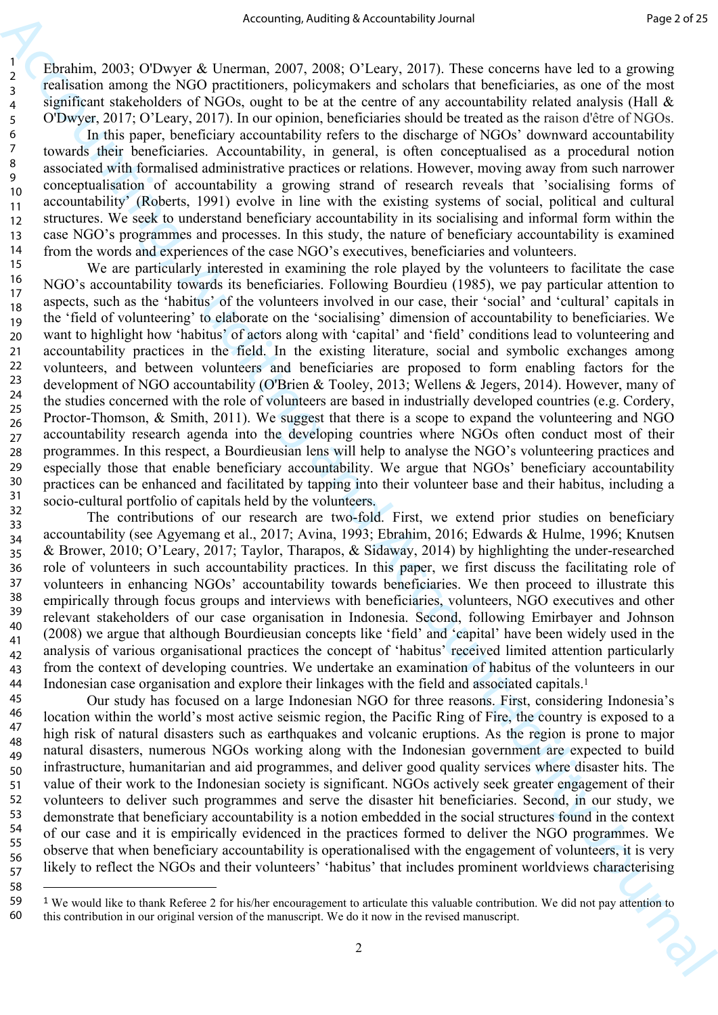Ebrahim, 2003; O'Dwyer & Unerman, 2007, 2008; O'Leary, 2017). These concerns have led to a growing realisation among the NGO practitioners, policymakers and scholars that beneficiaries, as one of the most significant stakeholders of NGOs, ought to be at the centre of any accountability related analysis (Hall & O'Dwyer, 2017; O'Leary, 2017). In our opinion, beneficiaries should be treated as the raison d'être of NGOs.

58

In this paper, beneficiary accountability refers to the discharge of NGOs' downward accountability towards their beneficiaries. Accountability, in general, is often conceptualised as a procedural notion associated with formalised administrative practices or relations. However, moving away from such narrower conceptualisation of accountability a growing strand of research reveals that 'socialising forms of accountability' (Roberts, 1991) evolve in line with the existing systems of social, political and cultural structures. We seek to understand beneficiary accountability in its socialising and informal form within the case NGO's programmes and processes. In this study, the nature of beneficiary accountability is examined from the words and experiences of the case NGO's executives, beneficiaries and volunteers. 12 13 14

Accounting sketch of Accounting in the state of Accounting Is a real of the state of Accounting Is a real of Accounting the state of Accounts and Accountability and Accountability of Accounts and Accounts are also the sta We are particularly interested in examining the role played by the volunteers to facilitate the case NGO's accountability towards its beneficiaries. Following Bourdieu (1985), we pay particular attention to aspects, such as the 'habitus' of the volunteers involved in our case, their 'social' and 'cultural' capitals in the 'field of volunteering' to elaborate on the 'socialising' dimension of accountability to beneficiaries. We want to highlight how 'habitus' of actors along with 'capital' and 'field' conditions lead to volunteering and accountability practices in the field. In the existing literature, social and symbolic exchanges among volunteers, and between volunteers and beneficiaries are proposed to form enabling factors for the development of NGO accountability (O'Brien & Tooley, 2013; Wellens & Jegers, 2014). However, many of the studies concerned with the role of volunteers are based in industrially developed countries (e.g. Cordery, Proctor-Thomson, & Smith, 2011). We suggest that there is a scope to expand the volunteering and NGO accountability research agenda into the developing countries where NGOs often conduct most of their programmes. In this respect, a Bourdieusian lens will help to analyse the NGO's volunteering practices and especially those that enable beneficiary accountability. We argue that NGOs' beneficiary accountability practices can be enhanced and facilitated by tapping into their volunteer base and their habitus, including a socio-cultural portfolio of capitals held by the volunteers. 15 16 17 18 19 20 21 22 23 24 25 26 27 28 29 30 31

The contributions of our research are two-fold. First, we extend prior studies on beneficiary accountability (see Agyemang et al., 2017; Avina, 1993; Ebrahim, 2016; Edwards & Hulme, 1996; Knutsen & Brower, 2010; O'Leary, 2017; Taylor, Tharapos, & Sidaway, 2014) by highlighting the under-researched role of volunteers in such accountability practices. In this paper, we first discuss the facilitating role of volunteers in enhancing NGOs' accountability towards beneficiaries. We then proceed to illustrate this empirically through focus groups and interviews with beneficiaries, volunteers, NGO executives and other relevant stakeholders of our case organisation in Indonesia. Second, following Emirbayer and Johnson (2008) we argue that although Bourdieusian concepts like 'field' and 'capital' have been widely used in the analysis of various organisational practices the concept of 'habitus' received limited attention particularly from the context of developing countries. We undertake an examination of habitus of the volunteers in our Indonesian case organisation and explore their linkages with the field and associated capitals.<sup>1</sup> 32 33 34 35 36 37 38 39 40 41 42 43 44

Our study has focused on a large Indonesian NGO for three reasons. First, considering Indonesia's location within the world's most active seismic region, the Pacific Ring of Fire, the country is exposed to a high risk of natural disasters such as earthquakes and volcanic eruptions. As the region is prone to major natural disasters, numerous NGOs working along with the Indonesian government are expected to build infrastructure, humanitarian and aid programmes, and deliver good quality services where disaster hits. The value of their work to the Indonesian society is significant. NGOs actively seek greater engagement of their volunteers to deliver such programmes and serve the disaster hit beneficiaries. Second, in our study, we demonstrate that beneficiary accountability is a notion embedded in the social structures found in the context of our case and it is empirically evidenced in the practices formed to deliver the NGO programmes. We observe that when beneficiary accountability is operationalised with the engagement of volunteers, it is very likely to reflect the NGOs and their volunteers' 'habitus' that includes prominent worldviews characterising 45 46 47 48 49 50 51 52 53 54 55 56 57

<sup>1</sup> We would like to thank Referee 2 for his/her encouragement to articulate this valuable contribution. We did not pay attention to this contribution in our original version of the manuscript. We do it now in the revised manuscript. 59 60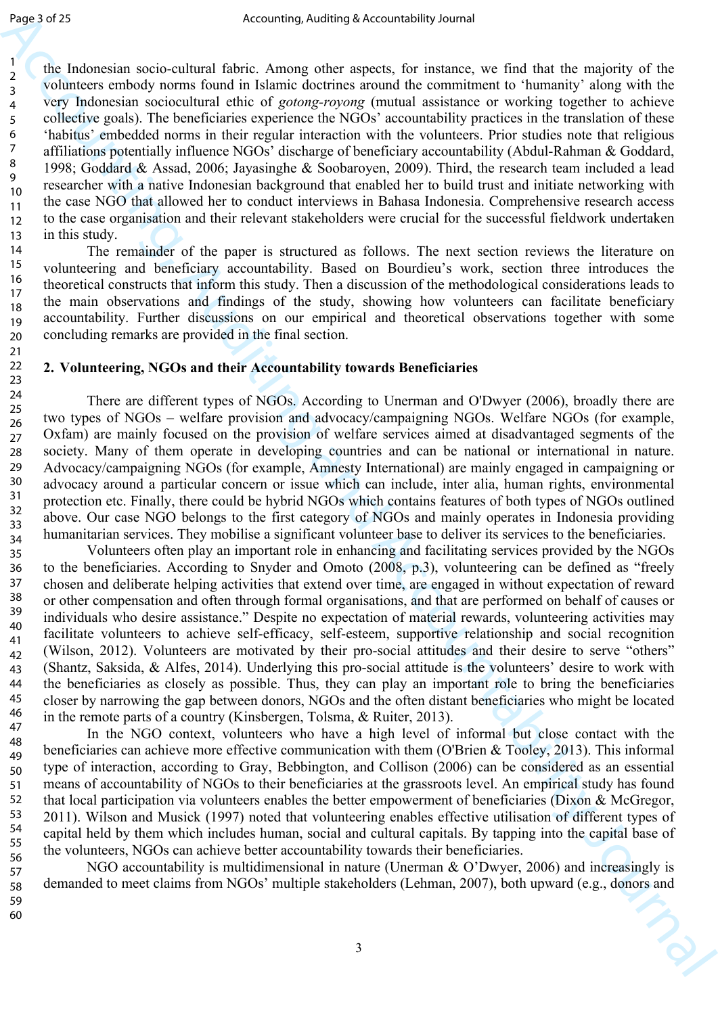the Indonesian socio-cultural fabric. Among other aspects, for instance, we find that the majority of the volunteers embody norms found in Islamic doctrines around the commitment to 'humanity' along with the very Indonesian sociocultural ethic of *gotong-royong* (mutual assistance or working together to achieve collective goals). The beneficiaries experience the NGOs' accountability practices in the translation of these 'habitus' embedded norms in their regular interaction with the volunteers. Prior studies note that religious affiliations potentially influence NGOs' discharge of beneficiary accountability (Abdul-Rahman & Goddard, 1998; Goddard & Assad, 2006; Jayasinghe & Soobaroyen, 2009). Third, the research team included a lead researcher with a native Indonesian background that enabled her to build trust and initiate networking with the case NGO that allowed her to conduct interviews in Bahasa Indonesia. Comprehensive research access to the case organisation and their relevant stakeholders were crucial for the successful fieldwork undertaken in this study.

The remainder of the paper is structured as follows. The next section reviews the literature on volunteering and beneficiary accountability. Based on Bourdieu's work, section three introduces the theoretical constructs that inform this study. Then a discussion of the methodological considerations leads to the main observations and findings of the study, showing how volunteers can facilitate beneficiary accountability. Further discussions on our empirical and theoretical observations together with some concluding remarks are provided in the final section.

#### **2. Volunteering, NGOs and their Accountability towards Beneficiaries**

There are different types of NGOs. According to Unerman and O'Dwyer (2006), broadly there are two types of NGOs – welfare provision and advocacy/campaigning NGOs. Welfare NGOs (for example, Oxfam) are mainly focused on the provision of welfare services aimed at disadvantaged segments of the society. Many of them operate in developing countries and can be national or international in nature. Advocacy/campaigning NGOs (for example, Amnesty International) are mainly engaged in campaigning or advocacy around a particular concern or issue which can include, inter alia, human rights, environmental protection etc. Finally, there could be hybrid NGOs which contains features of both types of NGOs outlined above. Our case NGO belongs to the first category of NGOs and mainly operates in Indonesia providing humanitarian services. They mobilise a significant volunteer base to deliver its services to the beneficiaries.

Angul VA Accounting And the animal scheme of the space of the particle is the main of the space of the space of the space of the space of the space of the space of the space of the space of the space of the space of the s Volunteers often play an important role in enhancing and facilitating services provided by the NGOs to the beneficiaries. According to Snyder and Omoto (2008, p.3), volunteering can be defined as "freely chosen and deliberate helping activities that extend over time, are engaged in without expectation of reward or other compensation and often through formal organisations, and that are performed on behalf of causes or individuals who desire assistance." Despite no expectation of material rewards, volunteering activities may facilitate volunteers to achieve self-efficacy, self-esteem, supportive relationship and social recognition (Wilson, 2012). Volunteers are motivated by their pro-social attitudes and their desire to serve "others" (Shantz, Saksida, & Alfes, 2014). Underlying this pro-social attitude is the volunteers' desire to work with the beneficiaries as closely as possible. Thus, they can play an important role to bring the beneficiaries closer by narrowing the gap between donors, NGOs and the often distant beneficiaries who might be located in the remote parts of a country (Kinsbergen, Tolsma, & Ruiter, 2013).

In the NGO context, volunteers who have a high level of informal but close contact with the beneficiaries can achieve more effective communication with them (O'Brien & Tooley, 2013). This informal type of interaction, according to Gray, Bebbington, and Collison (2006) can be considered as an essential means of accountability of NGOs to their beneficiaries at the grassroots level. An empirical study has found that local participation via volunteers enables the better empowerment of beneficiaries (Dixon & McGregor, 2011). Wilson and Musick (1997) noted that volunteering enables effective utilisation of different types of capital held by them which includes human, social and cultural capitals. By tapping into the capital base of the volunteers, NGOs can achieve better accountability towards their beneficiaries. 54 55 56

NGO accountability is multidimensional in nature (Unerman & O'Dwyer, 2006) and increasingly is demanded to meet claims from NGOs' multiple stakeholders (Lehman, 2007), both upward (e.g., donors and 57 58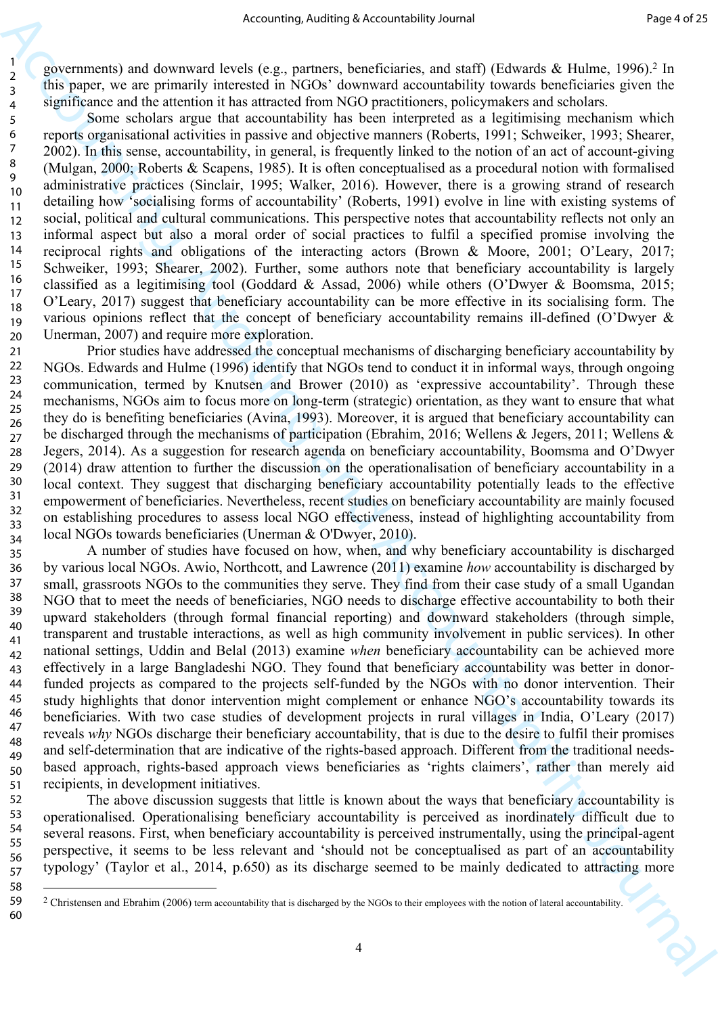governments) and downward levels (e.g., partners, beneficiaries, and staff) (Edwards & Hulme, 1996).2 In this paper, we are primarily interested in NGOs' downward accountability towards beneficiaries given the significance and the attention it has attracted from NGO practitioners, policymakers and scholars.

Some scholars argue that accountability has been interpreted as a legitimising mechanism which reports organisational activities in passive and objective manners (Roberts, 1991; Schweiker, 1993; Shearer, 2002). In this sense, accountability, in general, is frequently linked to the notion of an act of account-giving (Mulgan, 2000; Roberts & Scapens, 1985). It is often conceptualised as a procedural notion with formalised administrative practices (Sinclair, 1995; Walker, 2016). However, there is a growing strand of research detailing how 'socialising forms of accountability' (Roberts, 1991) evolve in line with existing systems of social, political and cultural communications. This perspective notes that accountability reflects not only an informal aspect but also a moral order of social practices to fulfil a specified promise involving the reciprocal rights and obligations of the interacting actors (Brown & Moore, 2001; O'Leary, 2017; Schweiker, 1993; Shearer, 2002). Further, some authors note that beneficiary accountability is largely classified as a legitimising tool (Goddard & Assad, 2006) while others (O'Dwyer & Boomsma, 2015; O'Leary, 2017) suggest that beneficiary accountability can be more effective in its socialising form. The various opinions reflect that the concept of beneficiary accountability remains ill-defined (O'Dwyer & Unerman, 2007) and require more exploration. 10 11 12 13 14 15 16 17 18 19 20

Prior studies have addressed the conceptual mechanisms of discharging beneficiary accountability by NGOs. Edwards and Hulme (1996) identify that NGOs tend to conduct it in informal ways, through ongoing communication, termed by Knutsen and Brower (2010) as 'expressive accountability'. Through these mechanisms, NGOs aim to focus more on long-term (strategic) orientation, as they want to ensure that what they do is benefiting beneficiaries (Avina, 1993). Moreover, it is argued that beneficiary accountability can be discharged through the mechanisms of participation (Ebrahim, 2016; Wellens & Jegers, 2011; Wellens & Jegers, 2014). As a suggestion for research agenda on beneficiary accountability, Boomsma and O'Dwyer (2014) draw attention to further the discussion on the operationalisation of beneficiary accountability in a local context. They suggest that discharging beneficiary accountability potentially leads to the effective empowerment of beneficiaries. Nevertheless, recent studies on beneficiary accountability are mainly focused on establishing procedures to assess local NGO effectiveness, instead of highlighting accountability from local NGOs towards beneficiaries (Unerman & O'Dwyer, 2010). 21 22 23 24 25 26 27 28 29 30 31 32 33 34

Accounting sketch in  $\mu$  and the sketch in the sketch in the sketch in the sketch in the sketch in the sketch in the sketch in the sketch in the sketch in the sketch in the sketch in the sketch in the sketch in the sketc A number of studies have focused on how, when, and why beneficiary accountability is discharged by various local NGOs. Awio, Northcott, and Lawrence (2011) examine *how* accountability is discharged by small, grassroots NGOs to the communities they serve. They find from their case study of a small Ugandan NGO that to meet the needs of beneficiaries, NGO needs to discharge effective accountability to both their upward stakeholders (through formal financial reporting) and downward stakeholders (through simple, transparent and trustable interactions, as well as high community involvement in public services). In other national settings, Uddin and Belal (2013) examine *when* beneficiary accountability can be achieved more effectively in a large Bangladeshi NGO. They found that beneficiary accountability was better in donorfunded projects as compared to the projects self-funded by the NGOs with no donor intervention. Their study highlights that donor intervention might complement or enhance NGO's accountability towards its beneficiaries. With two case studies of development projects in rural villages in India, O'Leary (2017) reveals *why* NGOs discharge their beneficiary accountability, that is due to the desire to fulfil their promises and self-determination that are indicative of the rights-based approach. Different from the traditional needsbased approach, rights-based approach views beneficiaries as 'rights claimers', rather than merely aid recipients, in development initiatives. 35 36 37 38 39 40 41 42 43 44 45 46 47 48 49 50 51

The above discussion suggests that little is known about the ways that beneficiary accountability is operationalised. Operationalising beneficiary accountability is perceived as inordinately difficult due to several reasons. First, when beneficiary accountability is perceived instrumentally, using the principal-agent perspective, it seems to be less relevant and 'should not be conceptualised as part of an accountability typology' (Taylor et al., 2014, p.650) as its discharge seemed to be mainly dedicated to attracting more 52 53 54 55 56 57

58

<sup>&</sup>lt;sup>2</sup> Christensen and Ebrahim (2006) term accountability that is discharged by the NGOs to their employees with the notion of lateral accountability. 59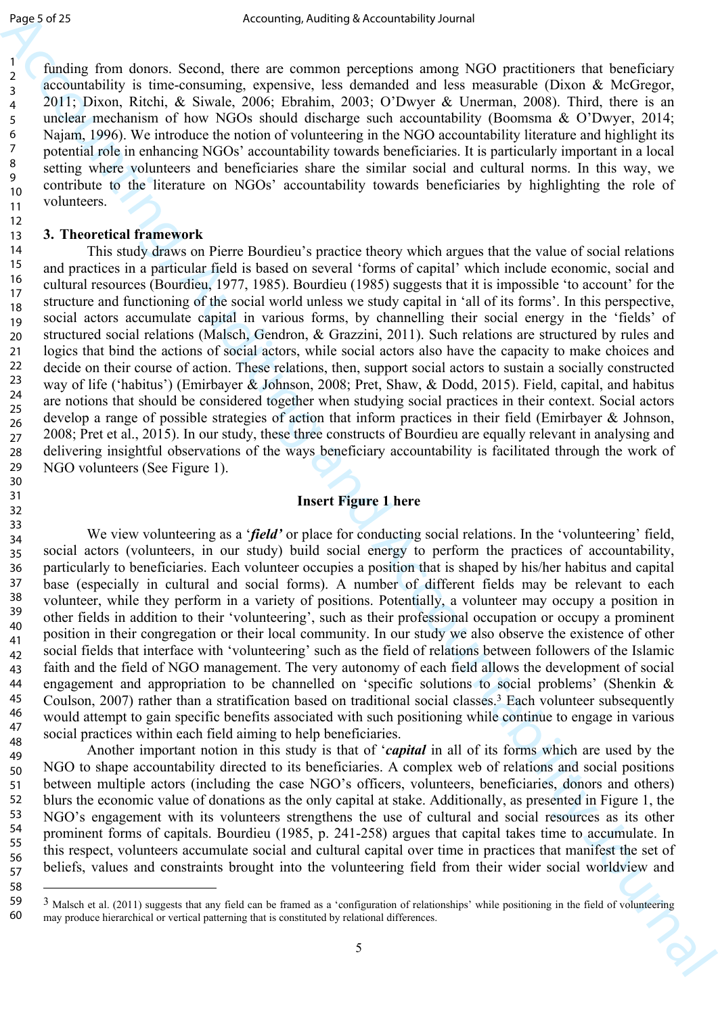31 32

58

funding from donors. Second, there are common perceptions among NGO practitioners that beneficiary accountability is time-consuming, expensive, less demanded and less measurable (Dixon & McGregor, 2011; Dixon, Ritchi, & Siwale, 2006; Ebrahim, 2003; O'Dwyer & Unerman, 2008). Third, there is an unclear mechanism of how NGOs should discharge such accountability (Boomsma & O'Dwyer, 2014; Najam, 1996). We introduce the notion of volunteering in the NGO accountability literature and highlight its potential role in enhancing NGOs' accountability towards beneficiaries. It is particularly important in a local setting where volunteers and beneficiaries share the similar social and cultural norms. In this way, we contribute to the literature on NGOs' accountability towards beneficiaries by highlighting the role of volunteers.

## **3. Theoretical framework**

Angular Capital Accounting sharing Accountability Londer<br>
2. Second their are common presented and account of Northeast Capital Research and the second and the second and the second and the second and the second and the s This study draws on Pierre Bourdieu's practice theory which argues that the value of social relations and practices in a particular field is based on several 'forms of capital' which include economic, social and cultural resources (Bourdieu, 1977, 1985). Bourdieu (1985) suggests that it is impossible 'to account' for the structure and functioning of the social world unless we study capital in 'all of its forms'. In this perspective, social actors accumulate capital in various forms, by channelling their social energy in the 'fields' of structured social relations (Malsch, Gendron, & Grazzini, 2011). Such relations are structured by rules and logics that bind the actions of social actors, while social actors also have the capacity to make choices and decide on their course of action. These relations, then, support social actors to sustain a socially constructed way of life ('habitus') (Emirbayer & Johnson, 2008; Pret, Shaw, & Dodd, 2015). Field, capital, and habitus are notions that should be considered together when studying social practices in their context. Social actors develop a range of possible strategies of action that inform practices in their field (Emirbayer & Johnson, 2008; Pret et al., 2015). In our study, these three constructs of Bourdieu are equally relevant in analysing and delivering insightful observations of the ways beneficiary accountability is facilitated through the work of NGO volunteers (See Figure 1). 14 15 16 17 18 19 20 21 22 23 24 25 26 27 28 29 30

## **Insert Figure 1 here**

We view volunteering as a '*field'* or place for conducting social relations. In the 'volunteering' field, social actors (volunteers, in our study) build social energy to perform the practices of accountability, particularly to beneficiaries. Each volunteer occupies a position that is shaped by his/her habitus and capital base (especially in cultural and social forms). A number of different fields may be relevant to each volunteer, while they perform in a variety of positions. Potentially, a volunteer may occupy a position in other fields in addition to their 'volunteering', such as their professional occupation or occupy a prominent position in their congregation or their local community. In our study we also observe the existence of other social fields that interface with 'volunteering' such as the field of relations between followers of the Islamic faith and the field of NGO management. The very autonomy of each field allows the development of social engagement and appropriation to be channelled on 'specific solutions to social problems' (Shenkin & Coulson, 2007) rather than a stratification based on traditional social classes.3 Each volunteer subsequently would attempt to gain specific benefits associated with such positioning while continue to engage in various social practices within each field aiming to help beneficiaries. 33 34 35 36 37 38 39 40 41 42 43 44 45 46 47 48

Another important notion in this study is that of '*capital* in all of its forms which are used by the NGO to shape accountability directed to its beneficiaries. A complex web of relations and social positions between multiple actors (including the case NGO's officers, volunteers, beneficiaries, donors and others) blurs the economic value of donations as the only capital at stake. Additionally, as presented in Figure 1, the NGO's engagement with its volunteers strengthens the use of cultural and social resources as its other prominent forms of capitals. Bourdieu (1985, p. 241-258) argues that capital takes time to accumulate. In this respect, volunteers accumulate social and cultural capital over time in practices that manifest the set of beliefs, values and constraints brought into the volunteering field from their wider social worldview and 49 50 51 52 53 54 55 56 57

 $3$  Malsch et al. (2011) suggests that any field can be framed as a 'configuration of relationships' while positioning in the field of volunteering may produce hierarchical or vertical patterning that is constituted by relational differences. 59 60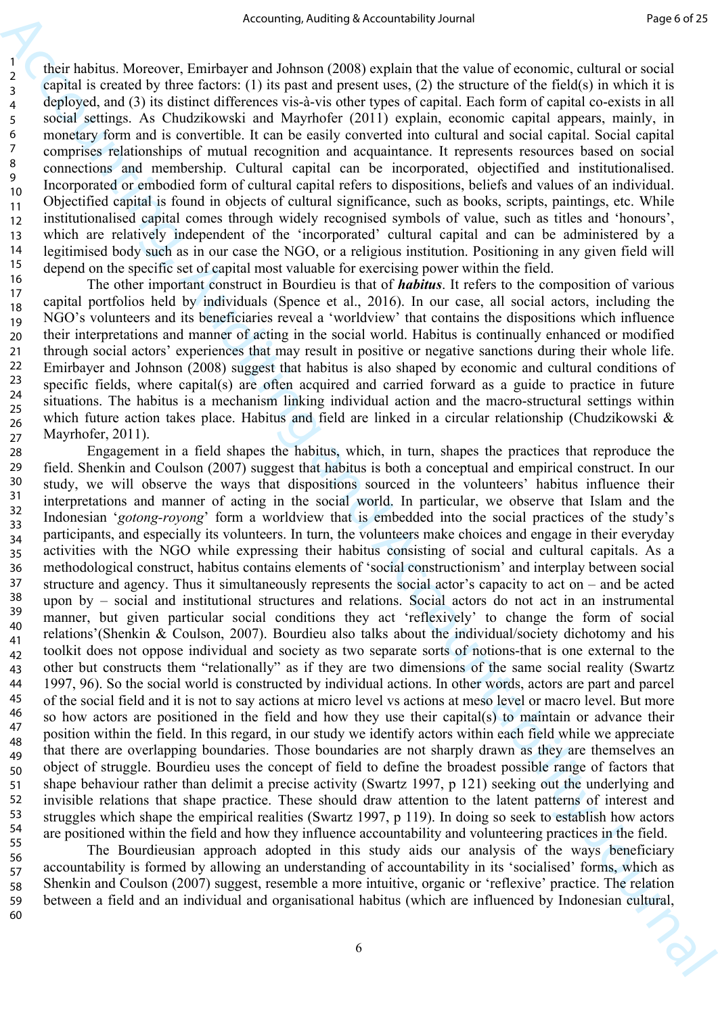their habitus. Moreover, Emirbayer and Johnson (2008) explain that the value of economic, cultural or social capital is created by three factors: (1) its past and present uses, (2) the structure of the field(s) in which it is deployed, and (3) its distinct differences vis-à-vis other types of capital. Each form of capital co-exists in all social settings. As Chudzikowski and Mayrhofer (2011) explain, economic capital appears, mainly, in monetary form and is convertible. It can be easily converted into cultural and social capital. Social capital comprises relationships of mutual recognition and acquaintance. It represents resources based on social connections and membership. Cultural capital can be incorporated, objectified and institutionalised. Incorporated or embodied form of cultural capital refers to dispositions, beliefs and values of an individual. Objectified capital is found in objects of cultural significance, such as books, scripts, paintings, etc. While institutionalised capital comes through widely recognised symbols of value, such as titles and 'honours', which are relatively independent of the 'incorporated' cultural capital and can be administered by a legitimised body such as in our case the NGO, or a religious institution. Positioning in any given field will depend on the specific set of capital most valuable for exercising power within the field. 12 13 14 15

The other important construct in Bourdieu is that of *habitus*. It refers to the composition of various capital portfolios held by individuals (Spence et al., 2016). In our case, all social actors, including the NGO's volunteers and its beneficiaries reveal a 'worldview' that contains the dispositions which influence their interpretations and manner of acting in the social world. Habitus is continually enhanced or modified through social actors' experiences that may result in positive or negative sanctions during their whole life. Emirbayer and Johnson (2008) suggest that habitus is also shaped by economic and cultural conditions of specific fields, where capital(s) are often acquired and carried forward as a guide to practice in future situations. The habitus is a mechanism linking individual action and the macro-structural settings within which future action takes place. Habitus and field are linked in a circular relationship (Chudzikowski & Mayrhofer, 2011). 16 17 18 19 20 21 22 23 24 25 26 27

Accounting sketch valenting sketch valenting is treated in the sketch valent of the sketch valent in the sketch valent of the sketch valent of the sketch valent of the sketch valent of the sketch valent of the sketch vale Engagement in a field shapes the habitus, which, in turn, shapes the practices that reproduce the field. Shenkin and Coulson (2007) suggest that habitus is both a conceptual and empirical construct. In our study, we will observe the ways that dispositions sourced in the volunteers' habitus influence their interpretations and manner of acting in the social world. In particular, we observe that Islam and the Indonesian '*gotong-royong*' form a worldview that is embedded into the social practices of the study's participants, and especially its volunteers. In turn, the volunteers make choices and engage in their everyday activities with the NGO while expressing their habitus consisting of social and cultural capitals. As a methodological construct, habitus contains elements of 'social constructionism' and interplay between social structure and agency. Thus it simultaneously represents the social actor's capacity to act on – and be acted upon by – social and institutional structures and relations. Social actors do not act in an instrumental manner, but given particular social conditions they act 'reflexively' to change the form of social relations'(Shenkin & Coulson, 2007). Bourdieu also talks about the individual/society dichotomy and his toolkit does not oppose individual and society as two separate sorts of notions-that is one external to the other but constructs them "relationally" as if they are two dimensions of the same social reality (Swartz 1997, 96). So the social world is constructed by individual actions. In other words, actors are part and parcel of the social field and it is not to say actions at micro level vs actions at meso level or macro level. But more so how actors are positioned in the field and how they use their capital(s) to maintain or advance their position within the field. In this regard, in our study we identify actors within each field while we appreciate that there are overlapping boundaries. Those boundaries are not sharply drawn as they are themselves an object of struggle. Bourdieu uses the concept of field to define the broadest possible range of factors that shape behaviour rather than delimit a precise activity (Swartz 1997, p 121) seeking out the underlying and invisible relations that shape practice. These should draw attention to the latent patterns of interest and struggles which shape the empirical realities (Swartz 1997, p 119). In doing so seek to establish how actors are positioned within the field and how they influence accountability and volunteering practices in the field. 28 29 30 31 32 33 34 35 36 37 38 39 40 41 42 43 44 45 46 47 48 49 50 51 52 53 54 55

The Bourdieusian approach adopted in this study aids our analysis of the ways beneficiary accountability is formed by allowing an understanding of accountability in its 'socialised' forms, which as Shenkin and Coulson (2007) suggest, resemble a more intuitive, organic or 'reflexive' practice. The relation between a field and an individual and organisational habitus (which are influenced by Indonesian cultural, 56 57 58 59 60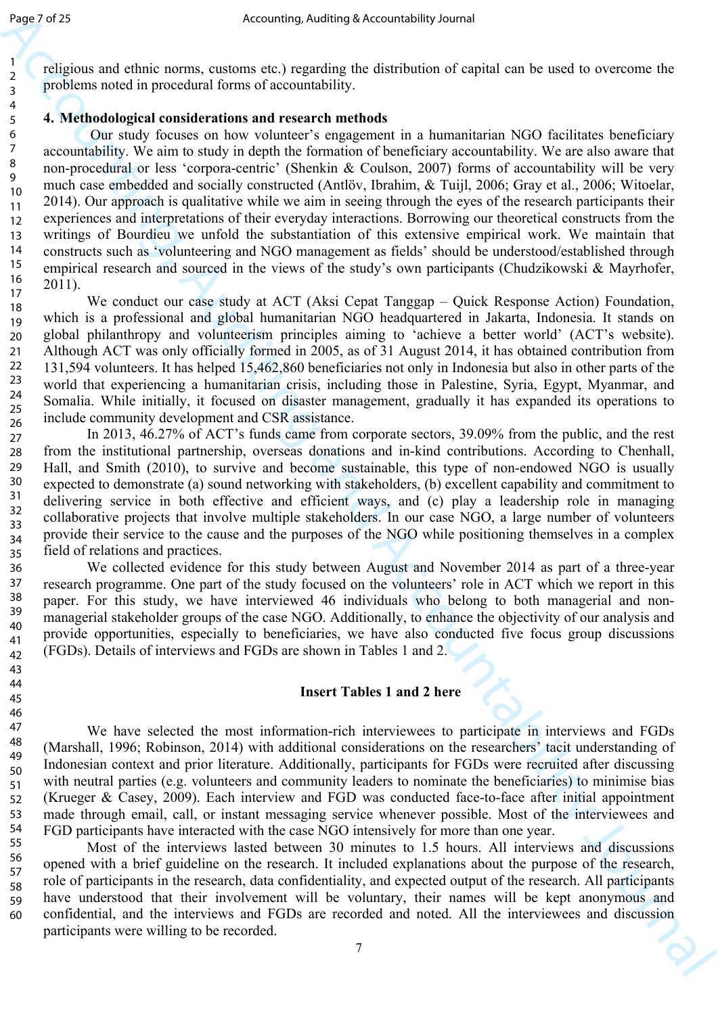religious and ethnic norms, customs etc.) regarding the distribution of capital can be used to overcome the problems noted in procedural forms of accountability.

### **4. Methodological considerations and research methods**

Angle 26  $\frac{1}{4}$  Accounting Accountability Journal is the subsect of the subsect of the subsect of the subsect of the subsect of the subsect of the subsect of the subsect of the subsect of the subsect of the subsect of Our study focuses on how volunteer's engagement in a humanitarian NGO facilitates beneficiary accountability. We aim to study in depth the formation of beneficiary accountability. We are also aware that non-procedural or less 'corpora-centric' (Shenkin & Coulson, 2007) forms of accountability will be very much case embedded and socially constructed (Antlöv, Ibrahim, & Tuijl, 2006; Gray et al., 2006; Witoelar, 2014). Our approach is qualitative while we aim in seeing through the eyes of the research participants their experiences and interpretations of their everyday interactions. Borrowing our theoretical constructs from the writings of Bourdieu we unfold the substantiation of this extensive empirical work. We maintain that constructs such as 'volunteering and NGO management as fields' should be understood/established through empirical research and sourced in the views of the study's own participants (Chudzikowski & Mayrhofer, 2011).

We conduct our case study at ACT (Aksi Cepat Tanggap – Quick Response Action) Foundation, which is a professional and global humanitarian NGO headquartered in Jakarta, Indonesia. It stands on global philanthropy and volunteerism principles aiming to 'achieve a better world' (ACT's website). Although ACT was only officially formed in 2005, as of 31 August 2014, it has obtained contribution from 131,594 volunteers. It has helped 15,462,860 beneficiaries not only in Indonesia but also in other parts of the world that experiencing a humanitarian crisis, including those in Palestine, Syria, Egypt, Myanmar, and Somalia. While initially, it focused on disaster management, gradually it has expanded its operations to include community development and CSR assistance. 17 18 19 20 21 22 23 24 25

In 2013, 46.27% of ACT's funds came from corporate sectors, 39.09% from the public, and the rest from the institutional partnership, overseas donations and in-kind contributions. According to Chenhall, Hall, and Smith (2010), to survive and become sustainable, this type of non-endowed NGO is usually expected to demonstrate (a) sound networking with stakeholders, (b) excellent capability and commitment to delivering service in both effective and efficient ways, and (c) play a leadership role in managing collaborative projects that involve multiple stakeholders. In our case NGO, a large number of volunteers provide their service to the cause and the purposes of the NGO while positioning themselves in a complex field of relations and practices. 28 29 30 31 32 33 34 35

We collected evidence for this study between August and November 2014 as part of a three-year research programme. One part of the study focused on the volunteers' role in ACT which we report in this paper. For this study, we have interviewed 46 individuals who belong to both managerial and nonmanagerial stakeholder groups of the case NGO. Additionally, to enhance the objectivity of our analysis and provide opportunities, especially to beneficiaries, we have also conducted five focus group discussions (FGDs). Details of interviews and FGDs are shown in Tables 1 and 2. 37 38 39 40 41 42

## **Insert Tables 1 and 2 here**

We have selected the most information-rich interviewees to participate in interviews and FGDs (Marshall, 1996; Robinson, 2014) with additional considerations on the researchers' tacit understanding of Indonesian context and prior literature. Additionally, participants for FGDs were recruited after discussing with neutral parties (e.g. volunteers and community leaders to nominate the beneficiaries) to minimise bias (Krueger & Casey, 2009). Each interview and FGD was conducted face-to-face after initial appointment made through email, call, or instant messaging service whenever possible. Most of the interviewees and FGD participants have interacted with the case NGO intensively for more than one year. 47 48 49 50 51 52 53 54

Most of the interviews lasted between 30 minutes to 1.5 hours. All interviews and discussions opened with a brief guideline on the research. It included explanations about the purpose of the research, role of participants in the research, data confidentiality, and expected output of the research. All participants have understood that their involvement will be voluntary, their names will be kept anonymous and confidential, and the interviews and FGDs are recorded and noted. All the interviewees and discussion participants were willing to be recorded. 55 56 57 58 59 60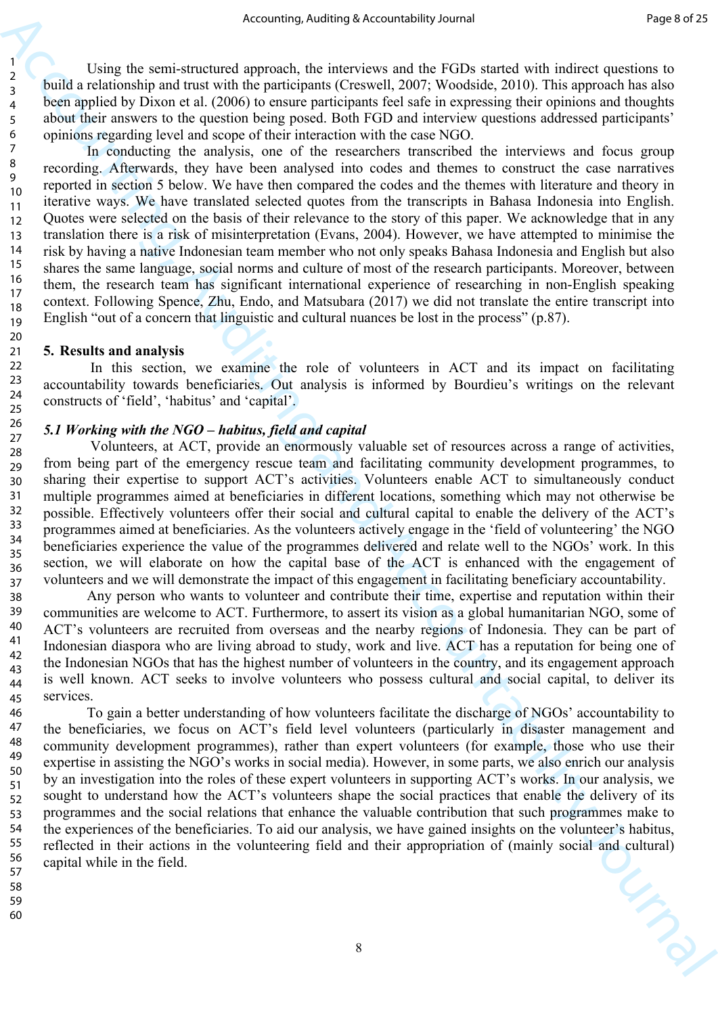Using the semi-structured approach, the interviews and the FGDs started with indirect questions to build a relationship and trust with the participants (Creswell, 2007; Woodside, 2010). This approach has also been applied by Dixon et al. (2006) to ensure participants feel safe in expressing their opinions and thoughts about their answers to the question being posed. Both FGD and interview questions addressed participants' opinions regarding level and scope of their interaction with the case NGO.

Accounting Auditripa Accounting in the spectrom. For the spectrome of the spectrome of the space of the space of the space of the space of the SVD stress of the SVD stress of the space of the space of the space of the spa In conducting the analysis, one of the researchers transcribed the interviews and focus group recording. Afterwards, they have been analysed into codes and themes to construct the case narratives reported in section 5 below. We have then compared the codes and the themes with literature and theory in iterative ways. We have translated selected quotes from the transcripts in Bahasa Indonesia into English. Quotes were selected on the basis of their relevance to the story of this paper. We acknowledge that in any translation there is a risk of misinterpretation (Evans, 2004). However, we have attempted to minimise the risk by having a native Indonesian team member who not only speaks Bahasa Indonesia and English but also shares the same language, social norms and culture of most of the research participants. Moreover, between them, the research team has significant international experience of researching in non-English speaking context. Following Spence, Zhu, Endo, and Matsubara (2017) we did not translate the entire transcript into English "out of a concern that linguistic and cultural nuances be lost in the process" (p.87).

#### **5. Results and analysis**

In this section, we examine the role of volunteers in ACT and its impact on facilitating accountability towards beneficiaries. Out analysis is informed by Bourdieu's writings on the relevant constructs of 'field', 'habitus' and 'capital'.

### *5.1 Working with the NGO – habitus, field and capital*

 Volunteers, at ACT, provide an enormously valuable set of resources across a range of activities, from being part of the emergency rescue team and facilitating community development programmes, to sharing their expertise to support ACT's activities. Volunteers enable ACT to simultaneously conduct multiple programmes aimed at beneficiaries in different locations, something which may not otherwise be possible. Effectively volunteers offer their social and cultural capital to enable the delivery of the ACT's programmes aimed at beneficiaries. As the volunteers actively engage in the 'field of volunteering' the NGO beneficiaries experience the value of the programmes delivered and relate well to the NGOs' work. In this section, we will elaborate on how the capital base of the ACT is enhanced with the engagement of volunteers and we will demonstrate the impact of this engagement in facilitating beneficiary accountability.

Any person who wants to volunteer and contribute their time, expertise and reputation within their communities are welcome to ACT. Furthermore, to assert its vision as a global humanitarian NGO, some of ACT's volunteers are recruited from overseas and the nearby regions of Indonesia. They can be part of Indonesian diaspora who are living abroad to study, work and live. ACT has a reputation for being one of the Indonesian NGOs that has the highest number of volunteers in the country, and its engagement approach is well known. ACT seeks to involve volunteers who possess cultural and social capital, to deliver its services. 38 39 40 41

To gain a better understanding of how volunteers facilitate the discharge of NGOs' accountability to the beneficiaries, we focus on ACT's field level volunteers (particularly in disaster management and community development programmes), rather than expert volunteers (for example, those who use their expertise in assisting the NGO's works in social media). However, in some parts, we also enrich our analysis by an investigation into the roles of these expert volunteers in supporting ACT's works. In our analysis, we sought to understand how the ACT's volunteers shape the social practices that enable the delivery of its programmes and the social relations that enhance the valuable contribution that such programmes make to the experiences of the beneficiaries. To aid our analysis, we have gained insights on the volunteer's habitus, reflected in their actions in the volunteering field and their appropriation of (mainly social and cultural) capital while in the field.

58 59 60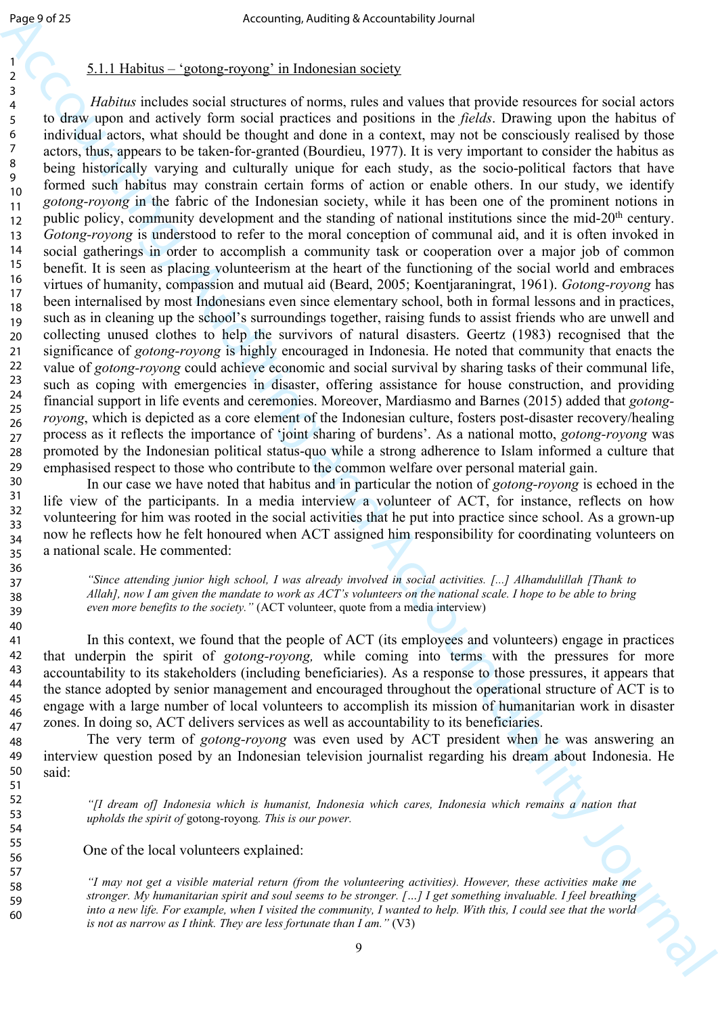#### 5.1.1 Habitus – 'gotong-royong' in Indonesian society

δαμείο 24<br>
Accounting Auditing Accounting is treated in the control interval and value of the Control interval and the Control interval and the Control interval and the Control interval and the Control interval and the  *Habitus* includes social structures of norms, rules and values that provide resources for social actors to draw upon and actively form social practices and positions in the *fields*. Drawing upon the habitus of individual actors, what should be thought and done in a context, may not be consciously realised by those actors, thus, appears to be taken-for-granted (Bourdieu, 1977). It is very important to consider the habitus as being historically varying and culturally unique for each study, as the socio-political factors that have formed such habitus may constrain certain forms of action or enable others. In our study, we identify *gotong-royong* in the fabric of the Indonesian society, while it has been one of the prominent notions in public policy, community development and the standing of national institutions since the mid-20<sup>th</sup> century. *Gotong-royong* is understood to refer to the moral conception of communal aid, and it is often invoked in social gatherings in order to accomplish a community task or cooperation over a major job of common benefit. It is seen as placing volunteerism at the heart of the functioning of the social world and embraces virtues of humanity, compassion and mutual aid (Beard, 2005; Koentjaraningrat, 1961). *Gotong-royong* has been internalised by most Indonesians even since elementary school, both in formal lessons and in practices, such as in cleaning up the school's surroundings together, raising funds to assist friends who are unwell and collecting unused clothes to help the survivors of natural disasters. Geertz (1983) recognised that the significance of *gotong-royong* is highly encouraged in Indonesia. He noted that community that enacts the value of *gotong-royong* could achieve economic and social survival by sharing tasks of their communal life, such as coping with emergencies in disaster, offering assistance for house construction, and providing financial support in life events and ceremonies. Moreover, Mardiasmo and Barnes (2015) added that *gotongroyong*, which is depicted as a core element of the Indonesian culture, fosters post-disaster recovery/healing process as it reflects the importance of 'joint sharing of burdens'. As a national motto, *gotong-royong* was promoted by the Indonesian political status-quo while a strong adherence to Islam informed a culture that emphasised respect to those who contribute to the common welfare over personal material gain. 10 11 12 13 14 15 16 17 18 19 20 21 22 23 24 25 26 27 28 29

In our case we have noted that habitus and in particular the notion of *gotong-royong* is echoed in the life view of the participants. In a media interview a volunteer of ACT, for instance, reflects on how volunteering for him was rooted in the social activities that he put into practice since school. As a grown-up now he reflects how he felt honoured when ACT assigned him responsibility for coordinating volunteers on a national scale. He commented: 30 31 32 33 34 35

> *"Since attending junior high school, I was already involved in social activities. [...] Alhamdulillah [Thank to Allah], now I am given the mandate to work as ACT's volunteers on the national scale. I hope to be able to bring even more benefits to the society."* (ACT volunteer, quote from a media interview)

In this context, we found that the people of ACT (its employees and volunteers) engage in practices that underpin the spirit of *gotong-royong,* while coming into terms with the pressures for more accountability to its stakeholders (including beneficiaries). As a response to those pressures, it appears that the stance adopted by senior management and encouraged throughout the operational structure of ACT is to engage with a large number of local volunteers to accomplish its mission of humanitarian work in disaster zones. In doing so, ACT delivers services as well as accountability to its beneficiaries.

The very term of *gotong-royong* was even used by ACT president when he was answering an interview question posed by an Indonesian television journalist regarding his dream about Indonesia. He said: 48 49 50

> *"[I dream of] Indonesia which is humanist, Indonesia which cares, Indonesia which remains a nation that upholds the spirit of* gotong-royong*. This is our power.*

One of the local volunteers explained:

*"I may not get a visible material return (from the volunteering activities). However, these activities make me stronger. My humanitarian spirit and soul seems to be stronger. […] I get something invaluable. I feel breathing into a new life. For example, when I visited the community, I wanted to help. With this, I could see that the world is not as narrow as I think. They are less fortunate than I am.*  $(v3)$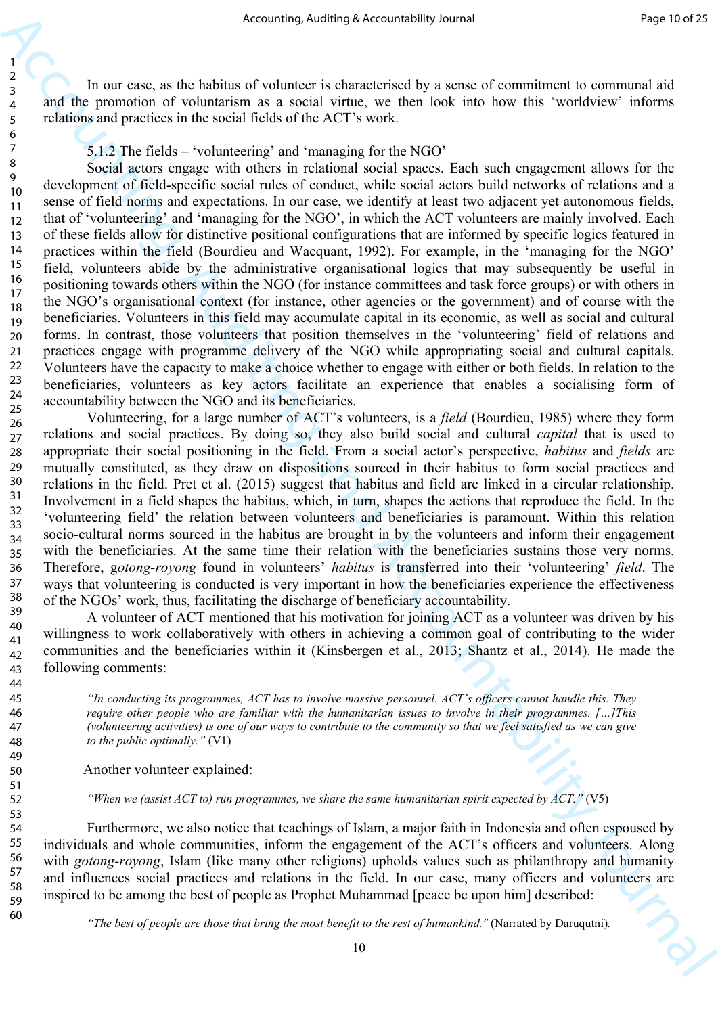In our case, as the habitus of volunteer is characterised by a sense of commitment to communal aid and the promotion of voluntarism as a social virtue, we then look into how this 'worldview' informs relations and practices in the social fields of the ACT's work.

## 5.1.2 The fields – 'volunteering' and 'managing for the NGO'

17

19

21

23

41

60

Accounting sixtensity Accounting to transfer the space of continentation of the state of the space of continentation of the state of the state of columnization of the state of columnization of the state of the state of co Social actors engage with others in relational social spaces. Each such engagement allows for the development of field-specific social rules of conduct, while social actors build networks of relations and a sense of field norms and expectations. In our case, we identify at least two adjacent yet autonomous fields, that of 'volunteering' and 'managing for the NGO', in which the ACT volunteers are mainly involved. Each of these fields allow for distinctive positional configurations that are informed by specific logics featured in practices within the field (Bourdieu and Wacquant, 1992). For example, in the 'managing for the NGO' field, volunteers abide by the administrative organisational logics that may subsequently be useful in positioning towards others within the NGO (for instance committees and task force groups) or with others in the NGO's organisational context (for instance, other agencies or the government) and of course with the beneficiaries. Volunteers in this field may accumulate capital in its economic, as well as social and cultural forms. In contrast, those volunteers that position themselves in the 'volunteering' field of relations and practices engage with programme delivery of the NGO while appropriating social and cultural capitals. Volunteers have the capacity to make a choice whether to engage with either or both fields. In relation to the beneficiaries, volunteers as key actors facilitate an experience that enables a socialising form of accountability between the NGO and its beneficiaries. 12 13 14 15 16 18 20 22 24

Volunteering, for a large number of ACT's volunteers, is a *field* (Bourdieu, 1985) where they form relations and social practices. By doing so, they also build social and cultural *capital* that is used to appropriate their social positioning in the field. From a social actor's perspective, *habitus* and *fields* are mutually constituted, as they draw on dispositions sourced in their habitus to form social practices and relations in the field. Pret et al. (2015) suggest that habitus and field are linked in a circular relationship. Involvement in a field shapes the habitus, which, in turn, shapes the actions that reproduce the field. In the 'volunteering field' the relation between volunteers and beneficiaries is paramount. Within this relation socio-cultural norms sourced in the habitus are brought in by the volunteers and inform their engagement with the beneficiaries. At the same time their relation with the beneficiaries sustains those very norms. Therefore, g*otong-royong* found in volunteers' *habitus* is transferred into their 'volunteering' *field*. The ways that volunteering is conducted is very important in how the beneficiaries experience the effectiveness of the NGOs' work, thus, facilitating the discharge of beneficiary accountability. 25 26 27 28 29 30 31 32 33 34 35 36 37 38 39

A volunteer of ACT mentioned that his motivation for joining ACT as a volunteer was driven by his willingness to work collaboratively with others in achieving a common goal of contributing to the wider communities and the beneficiaries within it (Kinsbergen et al., 2013; Shantz et al., 2014). He made the following comments: 40 42 43

> *"In conducting its programmes, ACT has to involve massive personnel. ACT's officers cannot handle this. They require other people who are familiar with the humanitarian issues to involve in their programmes. […]This (volunteering activities) is one of our ways to contribute to the community so that we feel satisfied as we can give to the public optimally."* (V1)

Another volunteer explained:

*"When we (assist ACT to) run programmes, we share the same humanitarian spirit expected by ACT."* (V5)

Furthermore, we also notice that teachings of Islam, a major faith in Indonesia and often espoused by individuals and whole communities, inform the engagement of the ACT's officers and volunteers. Along with *gotong-royong*, Islam (like many other religions) upholds values such as philanthropy and humanity and influences social practices and relations in the field. In our case, many officers and volunteers are inspired to be among the best of people as Prophet Muhammad [peace be upon him] described: 54 55 56 57 58 59

*"The best of people are those that bring the most benefit to the rest of humankind."* (Narrated by Daruqutni).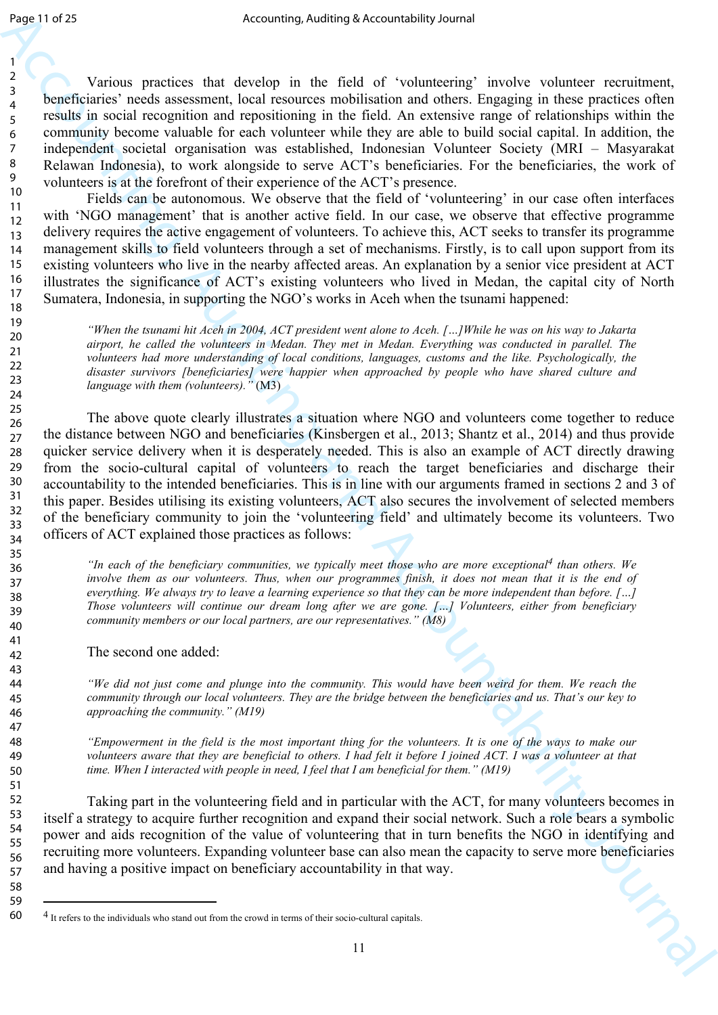Various practices that develop in the field of 'volunteering' involve volunteer recruitment, beneficiaries' needs assessment, local resources mobilisation and others. Engaging in these practices often results in social recognition and repositioning in the field. An extensive range of relationships within the community become valuable for each volunteer while they are able to build social capital. In addition, the independent societal organisation was established, Indonesian Volunteer Society (MRI – Masyarakat Relawan Indonesia), to work alongside to serve ACT's beneficiaries. For the beneficiaries, the work of volunteers is at the forefront of their experience of the ACT's presence.

Fields can be autonomous. We observe that the field of 'volunteering' in our case often interfaces with 'NGO management' that is another active field. In our case, we observe that effective programme delivery requires the active engagement of volunteers. To achieve this, ACT seeks to transfer its programme management skills to field volunteers through a set of mechanisms. Firstly, is to call upon support from its existing volunteers who live in the nearby affected areas. An explanation by a senior vice president at ACT illustrates the significance of ACT's existing volunteers who lived in Medan, the capital city of North Sumatera, Indonesia, in supporting the NGO's works in Aceh when the tsunami happened:

*"When the tsunami hit Aceh in 2004, ACT president went alone to Aceh. […]While he was on his way to Jakarta airport, he called the volunteers in Medan. They met in Medan. Everything was conducted in parallel. The volunteers had more understanding of local conditions, languages, customs and the like. Psychologically, the disaster survivors [beneficiaries] were happier when approached by people who have shared culture and language with them (volunteers)."* (M3)

Δημεία για διατηρικού διατηρικού επαιξεί μια της διατηρική διατηρική τρόπου το προσωπικό το προσωπικό το προσωπικό το προσωπικό το προσωπικό το προσωπικό το προσωπικό το προσωπικό το προσωπικό το προσωπικό το προσωπικό The above quote clearly illustrates a situation where NGO and volunteers come together to reduce the distance between NGO and beneficiaries (Kinsbergen et al., 2013; Shantz et al., 2014) and thus provide quicker service delivery when it is desperately needed. This is also an example of ACT directly drawing from the socio-cultural capital of volunteers to reach the target beneficiaries and discharge their accountability to the intended beneficiaries. This is in line with our arguments framed in sections 2 and 3 of this paper. Besides utilising its existing volunteers, ACT also secures the involvement of selected members of the beneficiary community to join the 'volunteering field' and ultimately become its volunteers. Two officers of ACT explained those practices as follows:

*"In each of the beneficiary communities, we typically meet those who are more exceptional4 than others. We involve them as our volunteers. Thus, when our programmes finish, it does not mean that it is the end of everything. We always try to leave a learning experience so that they can be more independent than before. […] Those volunteers will continue our dream long after we are gone. […] Volunteers, either from beneficiary community members or our local partners, are our representatives." (M8)*

The second one added:

*"We did not just come and plunge into the community. This would have been weird for them. We reach the community through our local volunteers. They are the bridge between the beneficiaries and us. That's our key to approaching the community." (M19)*

*"Empowerment in the field is the most important thing for the volunteers. It is one of the ways to make our volunteers aware that they are beneficial to others. I had felt it before I joined ACT. I was a volunteer at that time. When I interacted with people in need, I feel that I am beneficial for them." (M19)*

Taking part in the volunteering field and in particular with the ACT, for many volunteers becomes in itself a strategy to acquire further recognition and expand their social network. Such a role bears a symbolic power and aids recognition of the value of volunteering that in turn benefits the NGO in identifying and recruiting more volunteers. Expanding volunteer base can also mean the capacity to serve more beneficiaries and having a positive impact on beneficiary accountability in that way.

<sup>4</sup> It refers to the individuals who stand out from the crowd in terms of their socio-cultural capitals.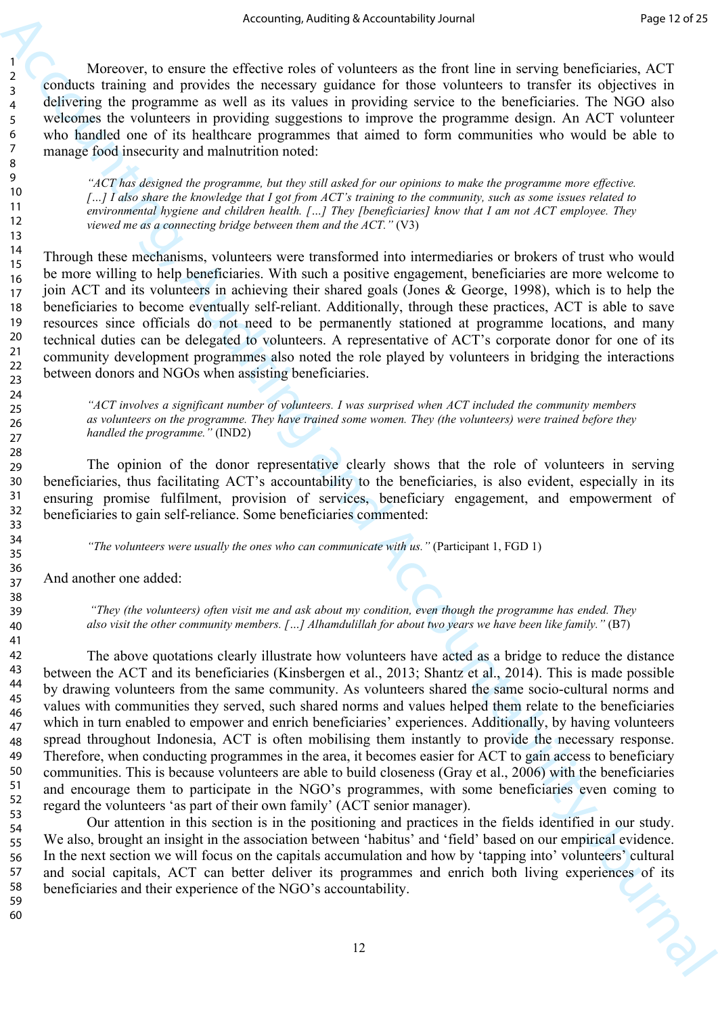Moreover, to ensure the effective roles of volunteers as the front line in serving beneficiaries, ACT conducts training and provides the necessary guidance for those volunteers to transfer its objectives in delivering the programme as well as its values in providing service to the beneficiaries. The NGO also welcomes the volunteers in providing suggestions to improve the programme design. An ACT volunteer who handled one of its healthcare programmes that aimed to form communities who would be able to manage food insecurity and malnutrition noted:

*"ACT has designed the programme, but they still asked for our opinions to make the programme more effective. […] I also share the knowledge that I got from ACT's training to the community, such as some issues related to environmental hygiene and children health. […] They [beneficiaries] know that I am not ACT employee. They viewed me as a connecting bridge between them and the ACT."* (V3)

Through these mechanisms, volunteers were transformed into intermediaries or brokers of trust who would be more willing to help beneficiaries. With such a positive engagement, beneficiaries are more welcome to join ACT and its volunteers in achieving their shared goals (Jones & George, 1998), which is to help the beneficiaries to become eventually self-reliant. Additionally, through these practices, ACT is able to save resources since officials do not need to be permanently stationed at programme locations, and many technical duties can be delegated to volunteers. A representative of ACT's corporate donor for one of its community development programmes also noted the role played by volunteers in bridging the interactions between donors and NGOs when assisting beneficiaries.

*"ACT involves a significant number of volunteers. I was surprised when ACT included the community members as volunteers on the programme. They have trained some women. They (the volunteers) were trained before they handled the programme."* (IND2)

The opinion of the donor representative clearly shows that the role of volunteers in serving beneficiaries, thus facilitating ACT's accountability to the beneficiaries, is also evident, especially in its ensuring promise fulfilment, provision of services, beneficiary engagement, and empowerment of beneficiaries to gain self-reliance. Some beneficiaries commented:

*"The volunteers were usually the ones who can communicate with us."* (Participant 1, FGD 1)

And another one added:

 *"They (the volunteers) often visit me and ask about my condition, even though the programme has ended. They also visit the other community members. […] Alhamdulillah for about two years we have been like family."* (B7)

Accounting Accounting to the method with the state of the first interaction of the state of the state of the state of the state of the state of the state of the state of the state of the state of the state of the state of The above quotations clearly illustrate how volunteers have acted as a bridge to reduce the distance between the ACT and its beneficiaries (Kinsbergen et al., 2013; Shantz et al., 2014). This is made possible by drawing volunteers from the same community. As volunteers shared the same socio-cultural norms and values with communities they served, such shared norms and values helped them relate to the beneficiaries which in turn enabled to empower and enrich beneficiaries' experiences. Additionally, by having volunteers spread throughout Indonesia, ACT is often mobilising them instantly to provide the necessary response. Therefore, when conducting programmes in the area, it becomes easier for ACT to gain access to beneficiary communities. This is because volunteers are able to build closeness (Gray et al., 2006) with the beneficiaries and encourage them to participate in the NGO's programmes, with some beneficiaries even coming to regard the volunteers 'as part of their own family' (ACT senior manager).

Our attention in this section is in the positioning and practices in the fields identified in our study. We also, brought an insight in the association between 'habitus' and 'field' based on our empirical evidence. In the next section we will focus on the capitals accumulation and how by 'tapping into' volunteers' cultural and social capitals, ACT can better deliver its programmes and enrich both living experiences of its beneficiaries and their experience of the NGO's accountability.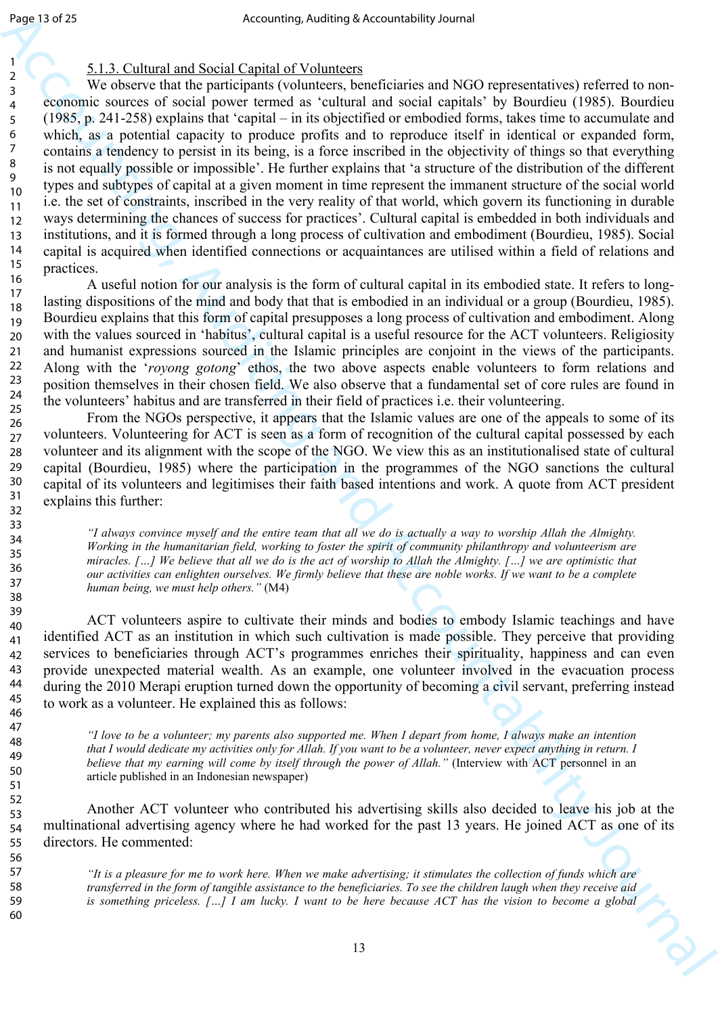## 5.1.3. Cultural and Social Capital of Volunteers

Δηρεί τιλ 24<br>
(a)  $\frac{1}{2}$  (a)  $\frac{1}{2}$  (b)  $\frac{1}{2}$  (c)  $\frac{1}{2}$  (c)  $\frac{1}{2}$  (c)  $\frac{1}{2}$  (c)  $\frac{1}{2}$  (c)  $\frac{1}{2}$  (c)  $\frac{1}{2}$  (c)  $\frac{1}{2}$  (c)  $\frac{1}{2}$  (c)  $\frac{1}{2}$  (c)  $\frac{1}{2}$  (c)  $\frac{1}{2}$  (c)  $\frac{1$ We observe that the participants (volunteers, beneficiaries and NGO representatives) referred to noneconomic sources of social power termed as 'cultural and social capitals' by Bourdieu (1985). Bourdieu (1985, p. 241-258) explains that 'capital – in its objectified or embodied forms, takes time to accumulate and which, as a potential capacity to produce profits and to reproduce itself in identical or expanded form, contains a tendency to persist in its being, is a force inscribed in the objectivity of things so that everything is not equally possible or impossible'. He further explains that 'a structure of the distribution of the different types and subtypes of capital at a given moment in time represent the immanent structure of the social world i.e. the set of constraints, inscribed in the very reality of that world, which govern its functioning in durable ways determining the chances of success for practices'. Cultural capital is embedded in both individuals and institutions, and it is formed through a long process of cultivation and embodiment (Bourdieu, 1985). Social capital is acquired when identified connections or acquaintances are utilised within a field of relations and practices.

A useful notion for our analysis is the form of cultural capital in its embodied state. It refers to longlasting dispositions of the mind and body that that is embodied in an individual or a group (Bourdieu, 1985). Bourdieu explains that this form of capital presupposes a long process of cultivation and embodiment. Along with the values sourced in 'habitus', cultural capital is a useful resource for the ACT volunteers. Religiosity and humanist expressions sourced in the Islamic principles are conjoint in the views of the participants. Along with the '*royong gotong*' ethos, the two above aspects enable volunteers to form relations and position themselves in their chosen field. We also observe that a fundamental set of core rules are found in the volunteers' habitus and are transferred in their field of practices i.e. their volunteering. 16 17 18 19 20 21 22 23 24 25

From the NGOs perspective, it appears that the Islamic values are one of the appeals to some of its volunteers. Volunteering for ACT is seen as a form of recognition of the cultural capital possessed by each volunteer and its alignment with the scope of the NGO. We view this as an institutionalised state of cultural capital (Bourdieu, 1985) where the participation in the programmes of the NGO sanctions the cultural capital of its volunteers and legitimises their faith based intentions and work. A quote from ACT president explains this further: 26 27 28 29 30 31 32

> *"I always convince myself and the entire team that all we do is actually a way to worship Allah the Almighty. Working in the humanitarian field, working to foster the spirit of community philanthropy and volunteerism are miracles. […] We believe that all we do is the act of worship to Allah the Almighty. […] we are optimistic that our activities can enlighten ourselves. We firmly believe that these are noble works. If we want to be a complete human being, we must help others."* (M4)

ACT volunteers aspire to cultivate their minds and bodies to embody Islamic teachings and have identified ACT as an institution in which such cultivation is made possible. They perceive that providing services to beneficiaries through ACT's programmes enriches their spirituality, happiness and can even provide unexpected material wealth. As an example, one volunteer involved in the evacuation process during the 2010 Merapi eruption turned down the opportunity of becoming a civil servant, preferring instead to work as a volunteer. He explained this as follows:

*"I love to be a volunteer; my parents also supported me. When I depart from home, I always make an intention that I would dedicate my activities only for Allah. If you want to be a volunteer, never expect anything in return. I believe that my earning will come by itself through the power of Allah."* (Interview with ACT personnel in an article published in an Indonesian newspaper)

Another ACT volunteer who contributed his advertising skills also decided to leave his job at the multinational advertising agency where he had worked for the past 13 years. He joined ACT as one of its directors. He commented: 52 53 54 55

> *"It is a pleasure for me to work here. When we make advertising; it stimulates the collection of funds which are transferred in the form of tangible assistance to the beneficiaries. To see the children laugh when they receive aid is something priceless. […] I am lucky. I want to be here because ACT has the vision to become a global*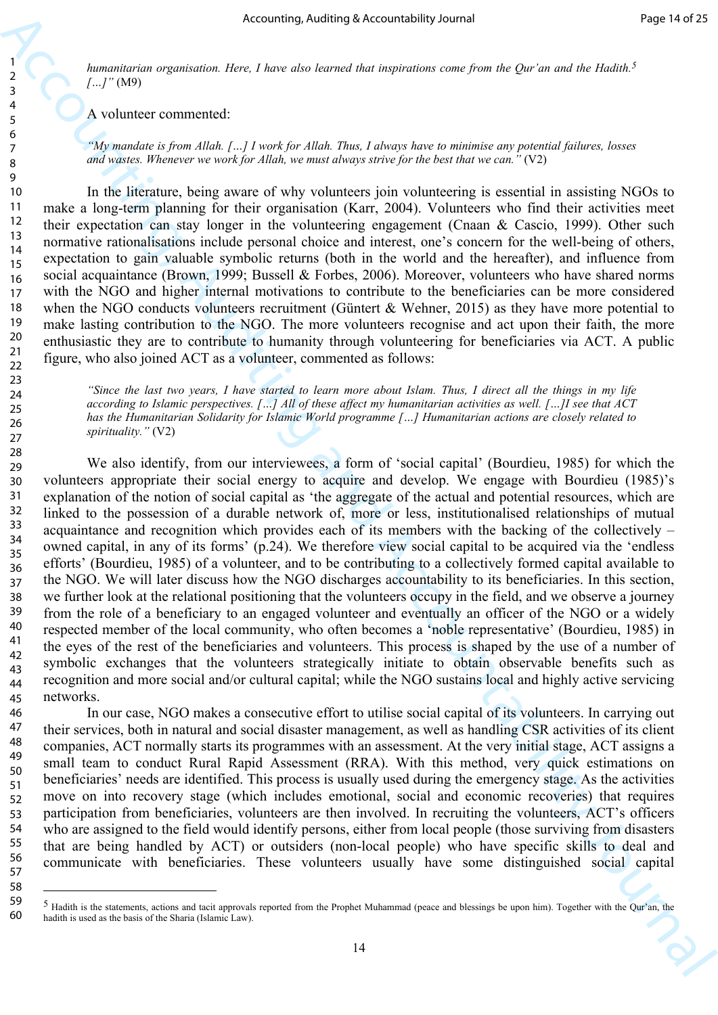*humanitarian organisation. Here, I have also learned that inspirations come from the Qur'an and the Hadith.5 […]"* (M9)

A volunteer commented:

58

*"My mandate is from Allah. […] I work for Allah. Thus, I always have to minimise any potential failures, losses and wastes. Whenever we work for Allah, we must always strive for the best that we can."* (V2)

In the literature, being aware of why volunteers join volunteering is essential in assisting NGOs to make a long-term planning for their organisation (Karr, 2004). Volunteers who find their activities meet their expectation can stay longer in the volunteering engagement (Cnaan & Cascio, 1999). Other such normative rationalisations include personal choice and interest, one's concern for the well-being of others, expectation to gain valuable symbolic returns (both in the world and the hereafter), and influence from social acquaintance (Brown, 1999; Bussell & Forbes, 2006). Moreover, volunteers who have shared norms with the NGO and higher internal motivations to contribute to the beneficiaries can be more considered when the NGO conducts volunteers recruitment (Güntert & Wehner, 2015) as they have more potential to make lasting contribution to the NGO. The more volunteers recognise and act upon their faith, the more enthusiastic they are to contribute to humanity through volunteering for beneficiaries via ACT. A public figure, who also joined ACT as a volunteer, commented as follows:

*"Since the last two years, I have started to learn more about Islam. Thus, I direct all the things in my life according to Islamic perspectives. […] All of these affect my humanitarian activities as well. […]I see that ACT has the Humanitarian Solidarity for Islamic World programme […] Humanitarian actions are closely related to spirituality."* (V2)

Accounting Accounting McCounting to the set of the set of the set of the set of the set of the set of the set of the set of the set of the set of the set of the set of the set of the set of the set of the set of the set o We also identify, from our interviewees, a form of 'social capital' (Bourdieu, 1985) for which the volunteers appropriate their social energy to acquire and develop. We engage with Bourdieu (1985)'s explanation of the notion of social capital as 'the aggregate of the actual and potential resources, which are linked to the possession of a durable network of, more or less, institutionalised relationships of mutual acquaintance and recognition which provides each of its members with the backing of the collectively – owned capital, in any of its forms' (p.24). We therefore view social capital to be acquired via the 'endless efforts' (Bourdieu, 1985) of a volunteer, and to be contributing to a collectively formed capital available to the NGO. We will later discuss how the NGO discharges accountability to its beneficiaries. In this section, we further look at the relational positioning that the volunteers occupy in the field, and we observe a journey from the role of a beneficiary to an engaged volunteer and eventually an officer of the NGO or a widely respected member of the local community, who often becomes a 'noble representative' (Bourdieu, 1985) in the eyes of the rest of the beneficiaries and volunteers. This process is shaped by the use of a number of symbolic exchanges that the volunteers strategically initiate to obtain observable benefits such as recognition and more social and/or cultural capital; while the NGO sustains local and highly active servicing networks. 28 29 30 31 32 33 34 35 36 37 38 39 40 41 42 43 44 45

In our case, NGO makes a consecutive effort to utilise social capital of its volunteers. In carrying out their services, both in natural and social disaster management, as well as handling CSR activities of its client companies, ACT normally starts its programmes with an assessment. At the very initial stage, ACT assigns a small team to conduct Rural Rapid Assessment (RRA). With this method, very quick estimations on beneficiaries' needs are identified. This process is usually used during the emergency stage. As the activities move on into recovery stage (which includes emotional, social and economic recoveries) that requires participation from beneficiaries, volunteers are then involved. In recruiting the volunteers, ACT's officers who are assigned to the field would identify persons, either from local people (those surviving from disasters that are being handled by ACT) or outsiders (non-local people) who have specific skills to deal and communicate with beneficiaries. These volunteers usually have some distinguished social capital 46 47 48 49 50 51 52 53 54 55 56 57

 $<sup>5</sup>$  Hadith is the statements, actions and tacit approvals reported from the Prophet Muhammad (peace and blessings be upon him). Together with the Qur'an, the</sup> hadith is used as the basis of the Sharia (Islamic Law). 59 60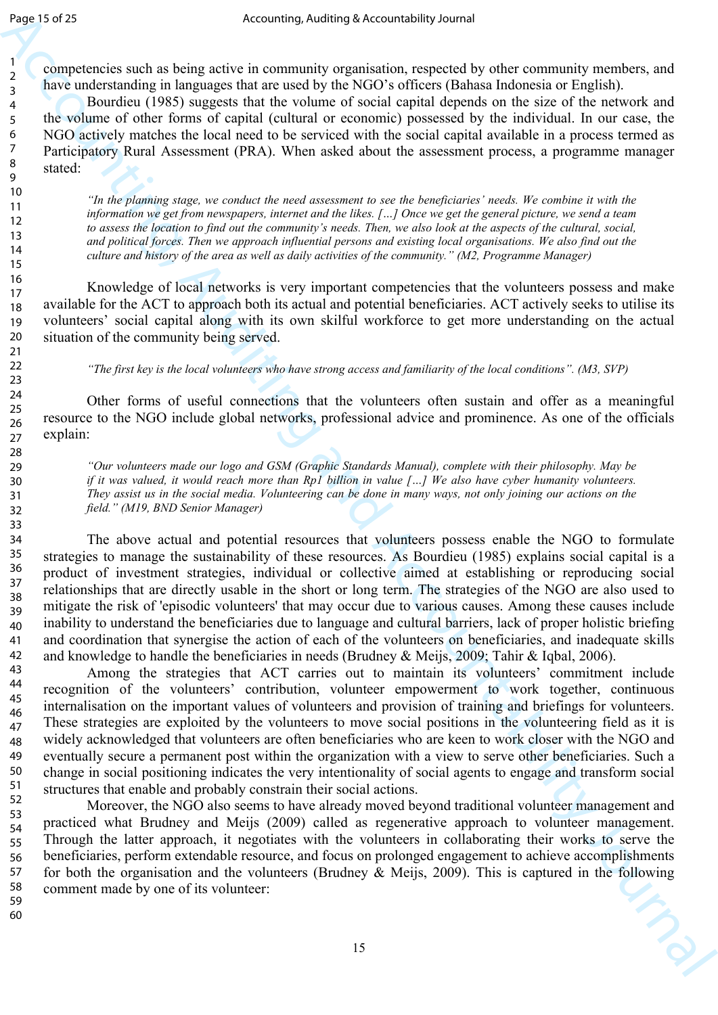competencies such as being active in community organisation, respected by other community members, and have understanding in languages that are used by the NGO's officers (Bahasa Indonesia or English).

Bourdieu (1985) suggests that the volume of social capital depends on the size of the network and the volume of other forms of capital (cultural or economic) possessed by the individual. In our case, the NGO actively matches the local need to be serviced with the social capital available in a process termed as Participatory Rural Assessment (PRA). When asked about the assessment process, a programme manager stated:

*"In the planning stage, we conduct the need assessment to see the beneficiaries' needs. We combine it with the information we get from newspapers, internet and the likes. […] Once we get the general picture, we send a team to assess the location to find out the community's needs. Then, we also look at the aspects of the cultural, social, and political forces. Then we approach influential persons and existing local organisations. We also find out the culture and history of the area as well as daily activities of the community." (M2, Programme Manager)*

Knowledge of local networks is very important competencies that the volunteers possess and make available for the ACT to approach both its actual and potential beneficiaries. ACT actively seeks to utilise its volunteers' social capital along with its own skilful workforce to get more understanding on the actual situation of the community being served.

*"The first key is the local volunteers who have strong access and familiarity of the local conditions". (M3, SVP)*

Other forms of useful connections that the volunteers often sustain and offer as a meaningful resource to the NGO include global networks, professional advice and prominence. As one of the officials explain:

*"Our volunteers made our logo and GSM (Graphic Standards Manual), complete with their philosophy. May be if it was valued, it would reach more than Rp1 billion in value […] We also have cyber humanity volunteers. They assist us in the social media. Volunteering can be done in many ways, not only joining our actions on the field." (M19, BND Senior Manager)*

The above actual and potential resources that volunteers possess enable the NGO to formulate strategies to manage the sustainability of these resources. As Bourdieu (1985) explains social capital is a product of investment strategies, individual or collective aimed at establishing or reproducing social relationships that are directly usable in the short or long term. The strategies of the NGO are also used to mitigate the risk of 'episodic volunteers' that may occur due to various causes. Among these causes include inability to understand the beneficiaries due to language and cultural barriers, lack of proper holistic briefing and coordination that synergise the action of each of the volunteers on beneficiaries, and inadequate skills and knowledge to handle the beneficiaries in needs (Brudney & Meijs, 2009; Tahir & Iqbal, 2006). 42

δημετική Accounting Auditing Accounting is transformally provided and the system of the computer system of the content of the content of the system of the system of the system of the system of the system of the system o Among the strategies that ACT carries out to maintain its volunteers' commitment include recognition of the volunteers' contribution, volunteer empowerment to work together, continuous internalisation on the important values of volunteers and provision of training and briefings for volunteers. These strategies are exploited by the volunteers to move social positions in the volunteering field as it is widely acknowledged that volunteers are often beneficiaries who are keen to work closer with the NGO and eventually secure a permanent post within the organization with a view to serve other beneficiaries. Such a change in social positioning indicates the very intentionality of social agents to engage and transform social structures that enable and probably constrain their social actions. 43 44 45 46 47 48 49 50 51

Moreover, the NGO also seems to have already moved beyond traditional volunteer management and practiced what Brudney and Meijs (2009) called as regenerative approach to volunteer management. Through the latter approach, it negotiates with the volunteers in collaborating their works to serve the beneficiaries, perform extendable resource, and focus on prolonged engagement to achieve accomplishments for both the organisation and the volunteers (Brudney & Meijs, 2009). This is captured in the following comment made by one of its volunteer: 52 53 54 55 56 57 58 59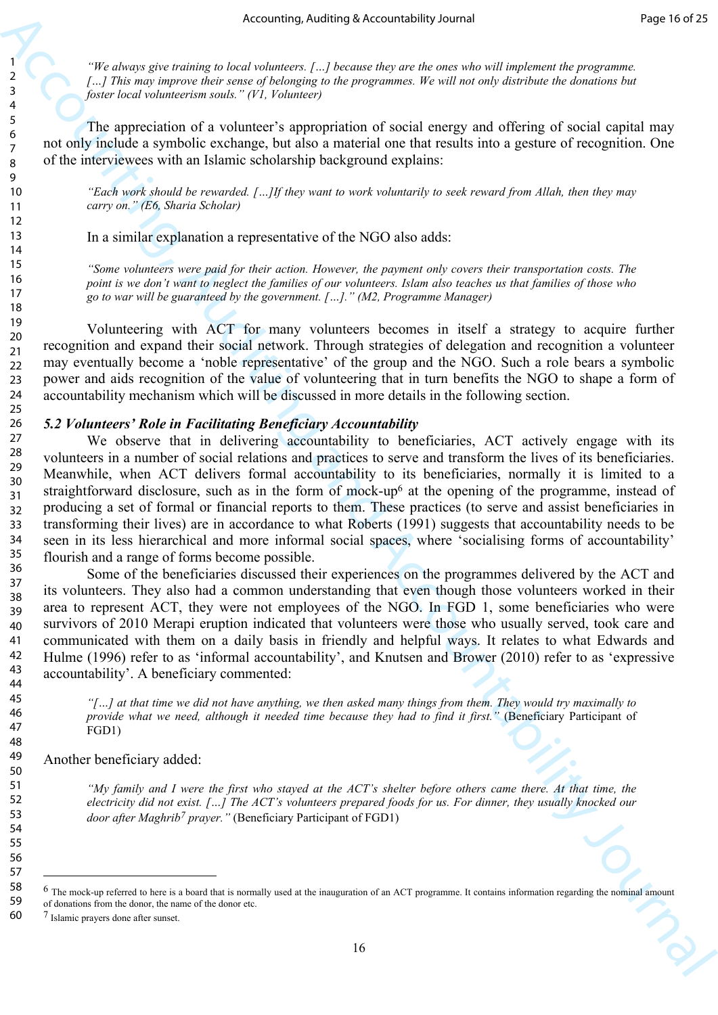*"We always give training to local volunteers. […] because they are the ones who will implement the programme.*  [...] This may improve their sense of belonging to the programmes. We will not only distribute the donations but *foster local volunteerism souls." (V1, Volunteer)*

The appreciation of a volunteer's appropriation of social energy and offering of social capital may not only include a symbolic exchange, but also a material one that results into a gesture of recognition. One of the interviewees with an Islamic scholarship background explains:

*"Each work should be rewarded. […]If they want to work voluntarily to seek reward from Allah, then they may carry on." (E6, Sharia Scholar)*

In a similar explanation a representative of the NGO also adds:

*"Some volunteers were paid for their action. However, the payment only covers their transportation costs. The point is we don't want to neglect the families of our volunteers. Islam also teaches us that families of those who go to war will be guaranteed by the government. […]." (M2, Programme Manager)*

 Volunteering with ACT for many volunteers becomes in itself a strategy to acquire further recognition and expand their social network. Through strategies of delegation and recognition a volunteer may eventually become a 'noble representative' of the group and the NGO. Such a role bears a symbolic power and aids recognition of the value of volunteering that in turn benefits the NGO to shape a form of accountability mechanism which will be discussed in more details in the following section.

#### *5.2 Volunteers' Role in Facilitating Beneficiary Accountability*

Accounting sketch in the state of Accountability sternal<br>  $\frac{1}{2}$ <br>  $\frac{1}{r}$  This are equivalent to the state of  $\mu$  This are equivalent to the state of the state of the state of the state of the state of the state of We observe that in delivering accountability to beneficiaries, ACT actively engage with its volunteers in a number of social relations and practices to serve and transform the lives of its beneficiaries. Meanwhile, when ACT delivers formal accountability to its beneficiaries, normally it is limited to a straightforward disclosure, such as in the form of mock-up6 at the opening of the programme, instead of producing a set of formal or financial reports to them. These practices (to serve and assist beneficiaries in transforming their lives) are in accordance to what Roberts (1991) suggests that accountability needs to be seen in its less hierarchical and more informal social spaces, where 'socialising forms of accountability' flourish and a range of forms become possible. 27 28 29

Some of the beneficiaries discussed their experiences on the programmes delivered by the ACT and its volunteers. They also had a common understanding that even though those volunteers worked in their area to represent ACT, they were not employees of the NGO. In FGD 1, some beneficiaries who were survivors of 2010 Merapi eruption indicated that volunteers were those who usually served, took care and communicated with them on a daily basis in friendly and helpful ways. It relates to what Edwards and Hulme (1996) refer to as 'informal accountability', and Knutsen and Brower (2010) refer to as 'expressive accountability'. A beneficiary commented:

*"[…] at that time we did not have anything, we then asked many things from them. They would try maximally to provide what we need, although it needed time because they had to find it first."* (Beneficiary Participant of FGD1)

Another beneficiary added:

*"My family and I were the first who stayed at the ACT's shelter before others came there. At that time, the electricity did not exist. […] The ACT's volunteers prepared foods for us. For dinner, they usually knocked our door after Maghrib7 prayer."* (Beneficiary Participant of FGD1)

6 The mock-up referred to here is a board that is normally used at the inauguration of an ACT programme. It contains information regarding the nominal amount

<sup>30</sup> 31 32 33 34 35 36 37 38 39 40 41 42 43 44 45 46 47 48 49 50 51 52 53 54 55 56 57 58 59 60

of donations from the donor, the name of the donor etc. 7 Islamic prayers done after sunset.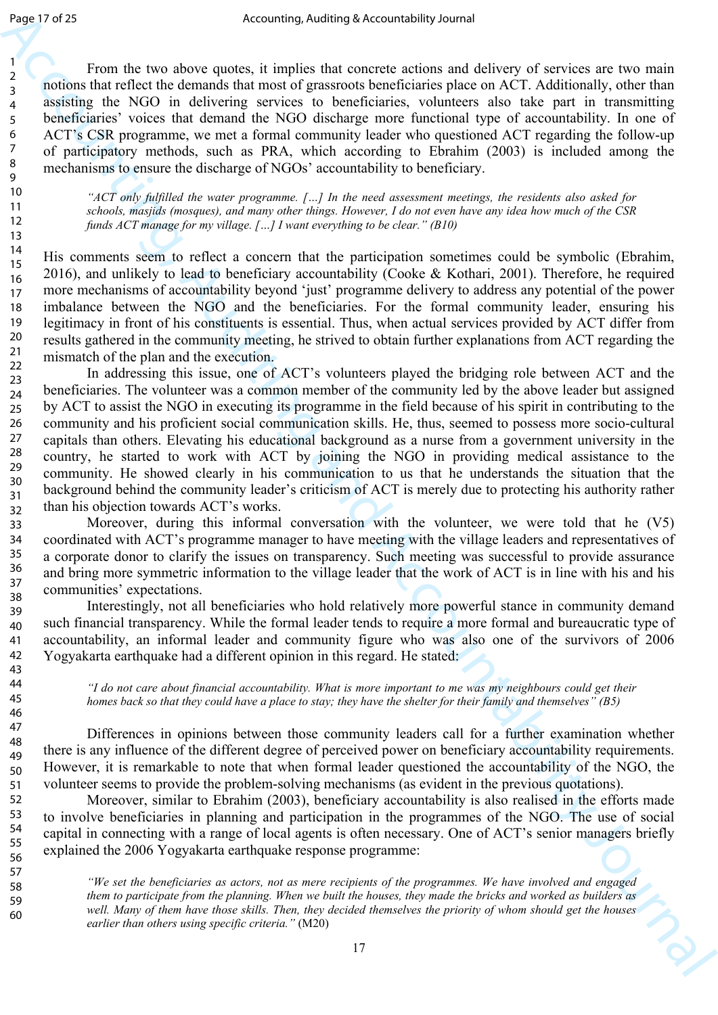From the two above quotes, it implies that concrete actions and delivery of services are two main notions that reflect the demands that most of grassroots beneficiaries place on ACT. Additionally, other than assisting the NGO in delivering services to beneficiaries, volunteers also take part in transmitting beneficiaries' voices that demand the NGO discharge more functional type of accountability. In one of ACT's CSR programme, we met a formal community leader who questioned ACT regarding the follow-up of participatory methods, such as PRA, which according to Ebrahim (2003) is included among the mechanisms to ensure the discharge of NGOs' accountability to beneficiary.

*"ACT only fulfilled the water programme. […] In the need assessment meetings, the residents also asked for schools, masjids (mosques), and many other things. However, I do not even have any idea how much of the CSR funds ACT manage for my village. […] I want everything to be clear." (B10)* 

His comments seem to reflect a concern that the participation sometimes could be symbolic (Ebrahim, 2016), and unlikely to lead to beneficiary accountability (Cooke & Kothari, 2001). Therefore, he required more mechanisms of accountability beyond 'just' programme delivery to address any potential of the power imbalance between the NGO and the beneficiaries. For the formal community leader, ensuring his legitimacy in front of his constituents is essential. Thus, when actual services provided by ACT differ from results gathered in the community meeting, he strived to obtain further explanations from ACT regarding the mismatch of the plan and the execution.

δαμμάτιση και το παρκειμο και το παρκειμο πολειτικοποίες το παρκειμο το παρκειμο το παρκειμο το παρκειμο το παρκειμο το παρκειμο το παρκειμο το παρκειμο το παρκειμο το παρκειμο το παρκειμο το παρκειμο το παρκειμο το παρ In addressing this issue, one of ACT's volunteers played the bridging role between ACT and the beneficiaries. The volunteer was a common member of the community led by the above leader but assigned by ACT to assist the NGO in executing its programme in the field because of his spirit in contributing to the community and his proficient social communication skills. He, thus, seemed to possess more socio-cultural capitals than others. Elevating his educational background as a nurse from a government university in the country, he started to work with ACT by joining the NGO in providing medical assistance to the community. He showed clearly in his communication to us that he understands the situation that the background behind the community leader's criticism of ACT is merely due to protecting his authority rather than his objection towards ACT's works.

Moreover, during this informal conversation with the volunteer, we were told that he (V5) coordinated with ACT's programme manager to have meeting with the village leaders and representatives of a corporate donor to clarify the issues on transparency. Such meeting was successful to provide assurance and bring more symmetric information to the village leader that the work of ACT is in line with his and his communities' expectations.

Interestingly, not all beneficiaries who hold relatively more powerful stance in community demand such financial transparency. While the formal leader tends to require a more formal and bureaucratic type of accountability, an informal leader and community figure who was also one of the survivors of 2006 Yogyakarta earthquake had a different opinion in this regard. He stated:

*"I do not care about financial accountability. What is more important to me was my neighbours could get their homes back so that they could have a place to stay; they have the shelter for their family and themselves" (B5)*

Differences in opinions between those community leaders call for a further examination whether there is any influence of the different degree of perceived power on beneficiary accountability requirements. However, it is remarkable to note that when formal leader questioned the accountability of the NGO, the volunteer seems to provide the problem-solving mechanisms (as evident in the previous quotations).

Moreover, similar to Ebrahim (2003), beneficiary accountability is also realised in the efforts made to involve beneficiaries in planning and participation in the programmes of the NGO. The use of social capital in connecting with a range of local agents is often necessary. One of ACT's senior managers briefly explained the 2006 Yogyakarta earthquake response programme:

*"We set the beneficiaries as actors, not as mere recipients of the programmes. We have involved and engaged them to participate from the planning. When we built the houses, they made the bricks and worked as builders as well. Many of them have those skills. Then, they decided themselves the priority of whom should get the houses earlier than others using specific criteria."* (M20)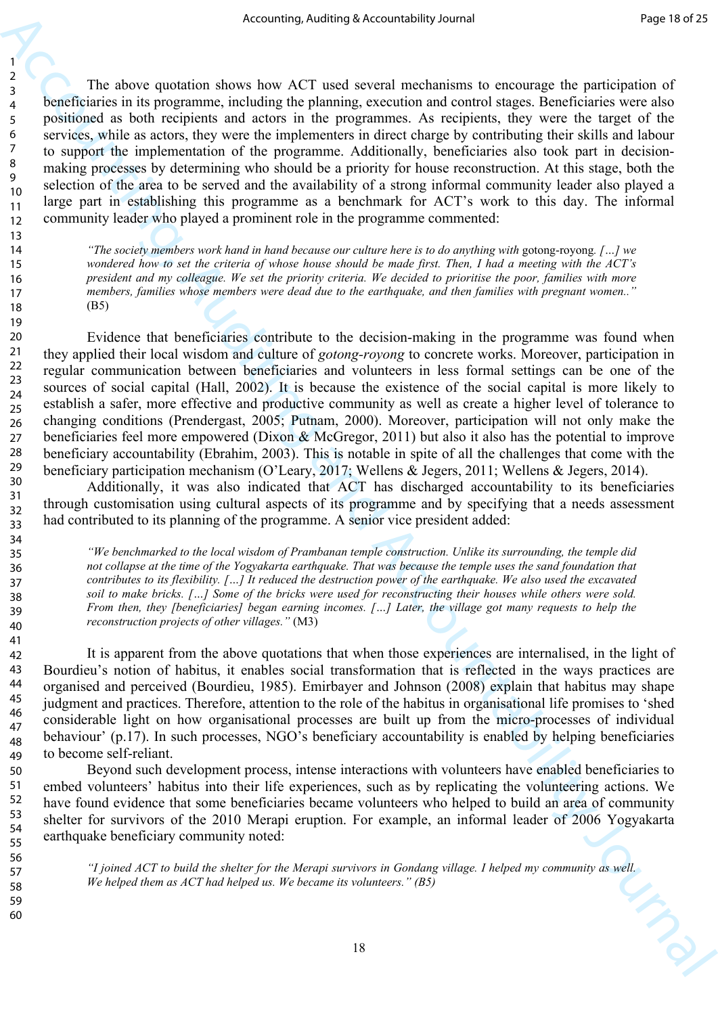The above quotation shows how ACT used several mechanisms to encourage the participation of beneficiaries in its programme, including the planning, execution and control stages. Beneficiaries were also positioned as both recipients and actors in the programmes. As recipients, they were the target of the services, while as actors, they were the implementers in direct charge by contributing their skills and labour to support the implementation of the programme. Additionally, beneficiaries also took part in decisionmaking processes by determining who should be a priority for house reconstruction. At this stage, both the selection of the area to be served and the availability of a strong informal community leader also played a large part in establishing this programme as a benchmark for ACT's work to this day. The informal community leader who played a prominent role in the programme commented:

*"The society members work hand in hand because our culture here is to do anything with* gotong-royong*. […] we wondered how to set the criteria of whose house should be made first. Then, I had a meeting with the ACT's president and my colleague. We set the priority criteria. We decided to prioritise the poor, families with more members, families whose members were dead due to the earthquake, and then families with pregnant women.."*  (B5)

A counting Asiativity Accounting internal methods on the properties of the Castle of the Castle of the Castle of the Castle of the Castle of the Castle of the Castle of the Castle of the Castle of the Castle of the Castle Evidence that beneficiaries contribute to the decision-making in the programme was found when they applied their local wisdom and culture of *gotong-royong* to concrete works. Moreover, participation in regular communication between beneficiaries and volunteers in less formal settings can be one of the sources of social capital (Hall, 2002). It is because the existence of the social capital is more likely to establish a safer, more effective and productive community as well as create a higher level of tolerance to changing conditions (Prendergast, 2005; Putnam, 2000). Moreover, participation will not only make the beneficiaries feel more empowered (Dixon & McGregor, 2011) but also it also has the potential to improve beneficiary accountability (Ebrahim, 2003). This is notable in spite of all the challenges that come with the beneficiary participation mechanism (O'Leary, 2017; Wellens & Jegers, 2011; Wellens & Jegers, 2014).

Additionally, it was also indicated that ACT has discharged accountability to its beneficiaries through customisation using cultural aspects of its programme and by specifying that a needs assessment had contributed to its planning of the programme. A senior vice president added:

*"We benchmarked to the local wisdom of Prambanan temple construction. Unlike its surrounding, the temple did not collapse at the time of the Yogyakarta earthquake. That was because the temple uses the sand foundation that contributes to its flexibility. […] It reduced the destruction power of the earthquake. We also used the excavated soil to make bricks. […] Some of the bricks were used for reconstructing their houses while others were sold. From then, they [beneficiaries] began earning incomes. […] Later, the village got many requests to help the reconstruction projects of other villages."* (M3)

It is apparent from the above quotations that when those experiences are internalised, in the light of Bourdieu's notion of habitus, it enables social transformation that is reflected in the ways practices are organised and perceived (Bourdieu, 1985). Emirbayer and Johnson (2008) explain that habitus may shape judgment and practices. Therefore, attention to the role of the habitus in organisational life promises to 'shed considerable light on how organisational processes are built up from the micro-processes of individual behaviour' (p.17). In such processes, NGO's beneficiary accountability is enabled by helping beneficiaries to become self-reliant.

Beyond such development process, intense interactions with volunteers have enabled beneficiaries to embed volunteers' habitus into their life experiences, such as by replicating the volunteering actions. We have found evidence that some beneficiaries became volunteers who helped to build an area of community shelter for survivors of the 2010 Merapi eruption. For example, an informal leader of 2006 Yogyakarta earthquake beneficiary community noted:

> *"I joined ACT to build the shelter for the Merapi survivors in Gondang village. I helped my community as well. We helped them as ACT had helped us. We became its volunteers." (B5)*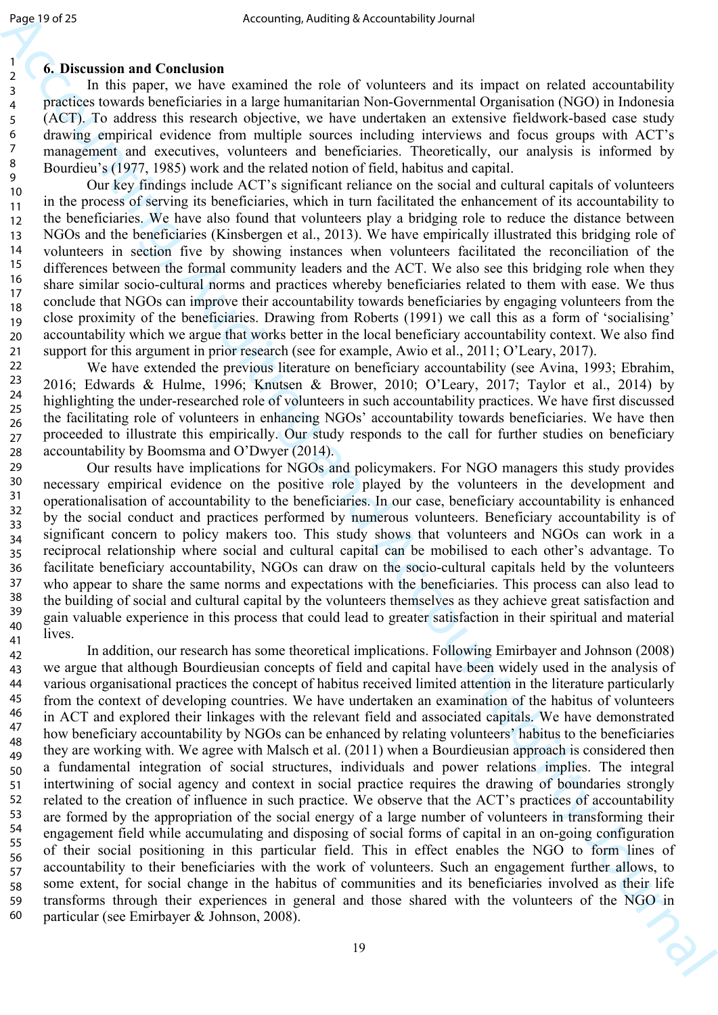## **6. Discussion and Conclusion**

In this paper, we have examined the role of volunteers and its impact on related accountability practices towards beneficiaries in a large humanitarian Non-Governmental Organisation (NGO) in Indonesia (ACT). To address this research objective, we have undertaken an extensive fieldwork-based case study drawing empirical evidence from multiple sources including interviews and focus groups with ACT's management and executives, volunteers and beneficiaries. Theoretically, our analysis is informed by Bourdieu's (1977, 1985) work and the related notion of field, habitus and capital.

Our key findings include ACT's significant reliance on the social and cultural capitals of volunteers in the process of serving its beneficiaries, which in turn facilitated the enhancement of its accountability to the beneficiaries. We have also found that volunteers play a bridging role to reduce the distance between NGOs and the beneficiaries (Kinsbergen et al., 2013). We have empirically illustrated this bridging role of volunteers in section five by showing instances when volunteers facilitated the reconciliation of the differences between the formal community leaders and the ACT. We also see this bridging role when they share similar socio-cultural norms and practices whereby beneficiaries related to them with ease. We thus conclude that NGOs can improve their accountability towards beneficiaries by engaging volunteers from the close proximity of the beneficiaries. Drawing from Roberts (1991) we call this as a form of 'socialising' accountability which we argue that works better in the local beneficiary accountability context. We also find support for this argument in prior research (see for example, Awio et al., 2011; O'Leary, 2017). 10 11 12 13 14 15 16 17 18 19 20 21

We have extended the previous literature on beneficiary accountability (see Avina, 1993; Ebrahim, 2016; Edwards & Hulme, 1996; Knutsen & Brower, 2010; O'Leary, 2017; Taylor et al., 2014) by highlighting the under-researched role of volunteers in such accountability practices. We have first discussed the facilitating role of volunteers in enhancing NGOs' accountability towards beneficiaries. We have then proceeded to illustrate this empirically. Our study responds to the call for further studies on beneficiary accountability by Boomsma and O'Dwyer (2014). 22 23 24 25 26 27 28

Our results have implications for NGOs and policymakers. For NGO managers this study provides necessary empirical evidence on the positive role played by the volunteers in the development and operationalisation of accountability to the beneficiaries. In our case, beneficiary accountability is enhanced by the social conduct and practices performed by numerous volunteers. Beneficiary accountability is of significant concern to policy makers too. This study shows that volunteers and NGOs can work in a reciprocal relationship where social and cultural capital can be mobilised to each other's advantage. To facilitate beneficiary accountability, NGOs can draw on the socio-cultural capitals held by the volunteers who appear to share the same norms and expectations with the beneficiaries. This process can also lead to the building of social and cultural capital by the volunteers themselves as they achieve great satisfaction and gain valuable experience in this process that could lead to greater satisfaction in their spiritual and material lives. 29 30 31 32 33 34 35 36 37 38 39 40 41

Δημείου - Accounting Accounting McCounting is transfer of the constraints and in the constraints and in the constraints are not also as a state of the state of the state of the state of the state of the state of the sta In addition, our research has some theoretical implications. Following Emirbayer and Johnson (2008) we argue that although Bourdieusian concepts of field and capital have been widely used in the analysis of various organisational practices the concept of habitus received limited attention in the literature particularly from the context of developing countries. We have undertaken an examination of the habitus of volunteers in ACT and explored their linkages with the relevant field and associated capitals. We have demonstrated how beneficiary accountability by NGOs can be enhanced by relating volunteers' habitus to the beneficiaries they are working with. We agree with Malsch et al. (2011) when a Bourdieusian approach is considered then a fundamental integration of social structures, individuals and power relations implies. The integral intertwining of social agency and context in social practice requires the drawing of boundaries strongly related to the creation of influence in such practice. We observe that the ACT's practices of accountability are formed by the appropriation of the social energy of a large number of volunteers in transforming their engagement field while accumulating and disposing of social forms of capital in an on-going configuration of their social positioning in this particular field. This in effect enables the NGO to form lines of accountability to their beneficiaries with the work of volunteers. Such an engagement further allows, to some extent, for social change in the habitus of communities and its beneficiaries involved as their life transforms through their experiences in general and those shared with the volunteers of the NGO in particular (see Emirbayer & Johnson, 2008). 42 43 44 45 46 47 48 49 50 51 52 53 54 55 56 57 58 59 60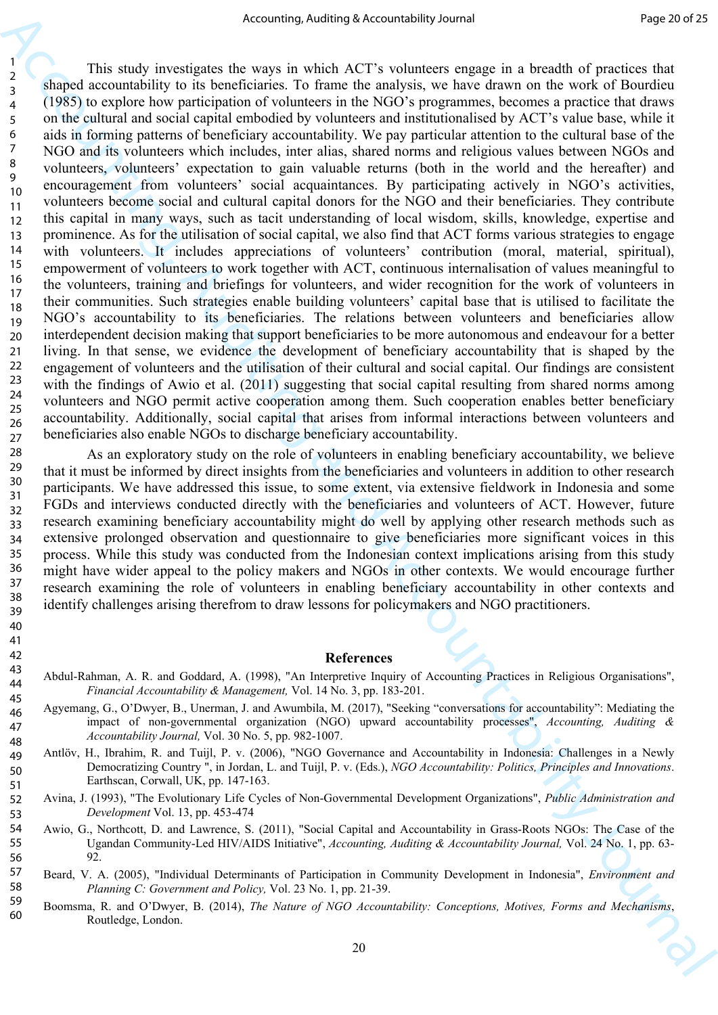Accounting short type Accounting the reader of the space of the best of the space of the space of the space of the space of the space of the space of the space of the space of the space of the space of the space of the sp This study investigates the ways in which ACT's volunteers engage in a breadth of practices that shaped accountability to its beneficiaries. To frame the analysis, we have drawn on the work of Bourdieu (1985) to explore how participation of volunteers in the NGO's programmes, becomes a practice that draws on the cultural and social capital embodied by volunteers and institutionalised by ACT's value base, while it aids in forming patterns of beneficiary accountability. We pay particular attention to the cultural base of the NGO and its volunteers which includes, inter alias, shared norms and religious values between NGOs and volunteers, volunteers' expectation to gain valuable returns (both in the world and the hereafter) and encouragement from volunteers' social acquaintances. By participating actively in NGO's activities, volunteers become social and cultural capital donors for the NGO and their beneficiaries. They contribute this capital in many ways, such as tacit understanding of local wisdom, skills, knowledge, expertise and prominence. As for the utilisation of social capital, we also find that ACT forms various strategies to engage with volunteers. It includes appreciations of volunteers' contribution (moral, material, spiritual), empowerment of volunteers to work together with ACT, continuous internalisation of values meaningful to the volunteers, training and briefings for volunteers, and wider recognition for the work of volunteers in their communities. Such strategies enable building volunteers' capital base that is utilised to facilitate the NGO's accountability to its beneficiaries. The relations between volunteers and beneficiaries allow interdependent decision making that support beneficiaries to be more autonomous and endeavour for a better living. In that sense, we evidence the development of beneficiary accountability that is shaped by the engagement of volunteers and the utilisation of their cultural and social capital. Our findings are consistent with the findings of Awio et al. (2011) suggesting that social capital resulting from shared norms among volunteers and NGO permit active cooperation among them. Such cooperation enables better beneficiary accountability. Additionally, social capital that arises from informal interactions between volunteers and beneficiaries also enable NGOs to discharge beneficiary accountability. 10 11 12 13 14 15 16 17 18 19 20 21 22 23 24 25 26 27

As an exploratory study on the role of volunteers in enabling beneficiary accountability, we believe that it must be informed by direct insights from the beneficiaries and volunteers in addition to other research participants. We have addressed this issue, to some extent, via extensive fieldwork in Indonesia and some FGDs and interviews conducted directly with the beneficiaries and volunteers of ACT. However, future research examining beneficiary accountability might do well by applying other research methods such as extensive prolonged observation and questionnaire to give beneficiaries more significant voices in this process. While this study was conducted from the Indonesian context implications arising from this study might have wider appeal to the policy makers and NGOs in other contexts. We would encourage further research examining the role of volunteers in enabling beneficiary accountability in other contexts and identify challenges arising therefrom to draw lessons for policymakers and NGO practitioners. 28 29 30 31 32 33 34 35 36 37 38 39

#### **References**

- Abdul-Rahman, A. R. and Goddard, A. (1998), "An Interpretive Inquiry of Accounting Practices in Religious Organisations", *Financial Accountability & Management,* Vol. 14 No. 3, pp. 183-201.
- Agyemang, G., O'Dwyer, B., Unerman, J. and Awumbila, M. (2017), "Seeking "conversations for accountability": Mediating the impact of non-governmental organization (NGO) upward accountability processes", *Accounting, Auditing & Accountability Journal,* Vol. 30 No. 5, pp. 982-1007.
- Antlöv, H., Ibrahim, R. and Tuijl, P. v. (2006), "NGO Governance and Accountability in Indonesia: Challenges in a Newly Democratizing Country ", in Jordan, L. and Tuijl, P. v. (Eds.), *NGO Accountability: Politics, Principles and Innovations*. Earthscan, Corwall, UK, pp. 147-163.
- Avina, J. (1993), "The Evolutionary Life Cycles of Non-Governmental Development Organizations", *Public Administration and Development* Vol. 13, pp. 453-474 52 53
- Awio, G., Northcott, D. and Lawrence, S. (2011), "Social Capital and Accountability in Grass-Roots NGOs: The Case of the Ugandan Community-Led HIV/AIDS Initiative", *Accounting, Auditing & Accountability Journal,* Vol. 24 No. 1, pp. 63- 92. 54 55 56
- Beard, V. A. (2005), "Individual Determinants of Participation in Community Development in Indonesia", *Environment and Planning C: Government and Policy,* Vol. 23 No. 1, pp. 21-39. 57 58
- Boomsma, R. and O'Dwyer, B. (2014), *The Nature of NGO Accountability: Conceptions, Motives, Forms and Mechanisms*, Routledge, London. 59 60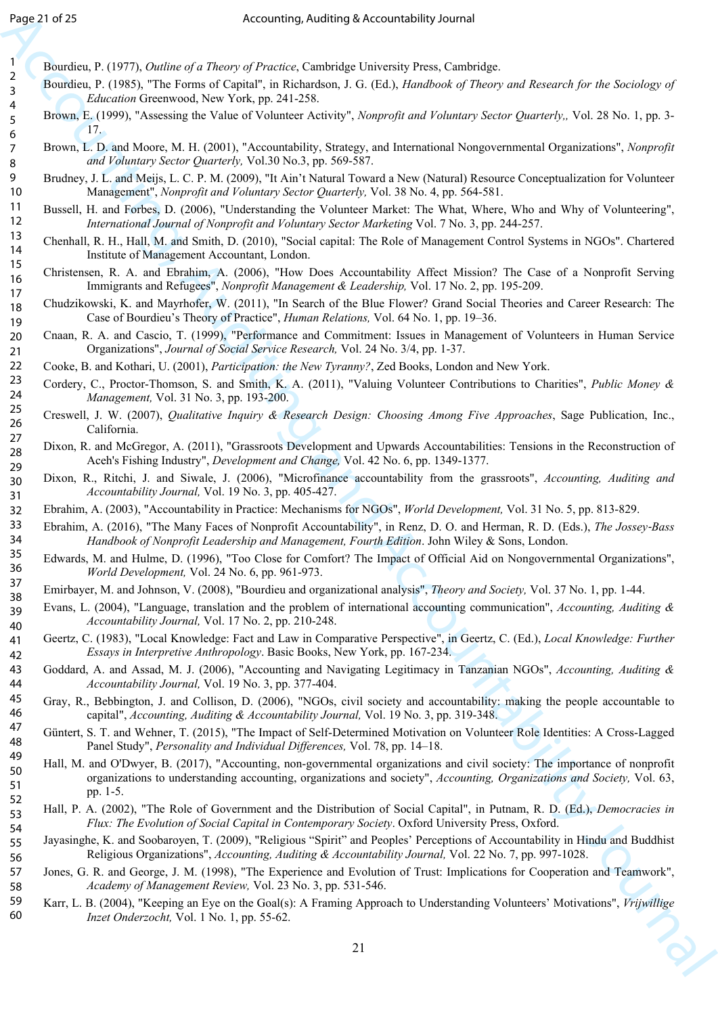- Bourdieu, P. (1977), *Outline of a Theory of Practice*, Cambridge University Press, Cambridge.
- Bourdieu, P. (1985), "The Forms of Capital", in Richardson, J. G. (Ed.), *Handbook of Theory and Research for the Sociology of Education* Greenwood, New York, pp. 241-258.
- Brown, E. (1999), "Assessing the Value of Volunteer Activity", *Nonprofit and Voluntary Sector Quarterly,,* Vol. 28 No. 1, pp. 3- 17.
- Brown, L. D. and Moore, M. H. (2001), "Accountability, Strategy, and International Nongovernmental Organizations", *Nonprofit and Voluntary Sector Quarterly,* Vol.30 No.3, pp. 569-587.
- Brudney, J. L. and Meijs, L. C. P. M. (2009), "It Ain't Natural Toward a New (Natural) Resource Conceptualization for Volunteer Management", *Nonprofit and Voluntary Sector Quarterly,* Vol. 38 No. 4, pp. 564-581.
- Bussell, H. and Forbes, D. (2006), "Understanding the Volunteer Market: The What, Where, Who and Why of Volunteering", *International Journal of Nonprofit and Voluntary Sector Marketing* Vol. 7 No. 3, pp. 244-257.
- Chenhall, R. H., Hall, M. and Smith, D. (2010), "Social capital: The Role of Management Control Systems in NGOs". Chartered Institute of Management Accountant, London.
- Christensen, R. A. and Ebrahim, A. (2006), "How Does Accountability Affect Mission? The Case of a Nonprofit Serving Immigrants and Refugees", *Nonprofit Management & Leadership,* Vol. 17 No. 2, pp. 195-209.
- Chudzikowski, K. and Mayrhofer, W. (2011), "In Search of the Blue Flower? Grand Social Theories and Career Research: The Case of Bourdieu's Theory of Practice", *Human Relations,* Vol. 64 No. 1, pp. 19–36. 18 19
- Cnaan, R. A. and Cascio, T. (1999), "Performance and Commitment: Issues in Management of Volunteers in Human Service Organizations", *Journal of Social Service Research,* Vol. 24 No. 3/4, pp. 1-37. 20 21
- Cooke, B. and Kothari, U. (2001), *Participation: the New Tyranny?*, Zed Books, London and New York. 22
- Cordery, C., Proctor-Thomson, S. and Smith, K. A. (2011), "Valuing Volunteer Contributions to Charities", *Public Money & Management,* Vol. 31 No. 3, pp. 193-200. 23 24
- Creswell, J. W. (2007), *Qualitative Inquiry & Research Design: Choosing Among Five Approaches*, Sage Publication, Inc., California. 25 26 27
- Dixon, R. and McGregor, A. (2011), "Grassroots Development and Upwards Accountabilities: Tensions in the Reconstruction of Aceh's Fishing Industry", *Development and Change,* Vol. 42 No. 6, pp. 1349-1377. 28 29
- Dixon, R., Ritchi, J. and Siwale, J. (2006), "Microfinance accountability from the grassroots", *Accounting, Auditing and Accountability Journal,* Vol. 19 No. 3, pp. 405-427. 30 31
- Ebrahim, A. (2003), "Accountability in Practice: Mechanisms for NGOs", *World Development,* Vol. 31 No. 5, pp. 813-829. 32
- Ebrahim, A. (2016), "The Many Faces of Nonprofit Accountability", in Renz, D. O. and Herman, R. D. (Eds.), *The Jossey‐Bass Handbook of Nonprofit Leadership and Management, Fourth Edition*. John Wiley & Sons, London. 33 34
- Edwards, M. and Hulme, D. (1996), "Too Close for Comfort? The Impact of Official Aid on Nongovernmental Organizations", *World Development,* Vol. 24 No. 6, pp. 961-973. 35 36
- Emirbayer, M. and Johnson, V. (2008), "Bourdieu and organizational analysis", *Theory and Society,* Vol. 37 No. 1, pp. 1-44. 37 38
- Evans, L. (2004), "Language, translation and the problem of international accounting communication", *Accounting, Auditing & Accountability Journal,* Vol. 17 No. 2, pp. 210-248. 39 40
- Geertz, C. (1983), "Local Knowledge: Fact and Law in Comparative Perspective", in Geertz, C. (Ed.), *Local Knowledge: Further Essays in Interpretive Anthropology*. Basic Books, New York, pp. 167-234. 41 42
- Goddard, A. and Assad, M. J. (2006), "Accounting and Navigating Legitimacy in Tanzanian NGOs", *Accounting, Auditing & Accountability Journal,* Vol. 19 No. 3, pp. 377-404. 43 44
- Gray, R., Bebbington, J. and Collison, D. (2006), "NGOs, civil society and accountability: making the people accountable to capital", *Accounting, Auditing & Accountability Journal,* Vol. 19 No. 3, pp. 319-348. 45 46
- Güntert, S. T. and Wehner, T. (2015), "The Impact of Self-Determined Motivation on Volunteer Role Identities: A Cross-Lagged Panel Study", *Personality and Individual Differences,* Vol. 78, pp. 14–18. 47 48 49
- Δημεία 14<br>
Security Auditing Accountability Journal Engine State Accountability Journal Engine State Accounts and the state Accounts are a state of the state of the state of the state of the state of the state of the st Hall, M. and O'Dwyer, B. (2017), "Accounting, non-governmental organizations and civil society: The importance of nonprofit organizations to understanding accounting, organizations and society", *Accounting, Organizations and Society,* Vol. 63, pp. 1-5. 50 51 52
	- Hall, P. A. (2002), "The Role of Government and the Distribution of Social Capital", in Putnam, R. D. (Ed.), *Democracies in Flux: The Evolution of Social Capital in Contemporary Society*. Oxford University Press, Oxford. 53 54
	- Jayasinghe, K. and Soobaroyen, T. (2009), "Religious "Spirit" and Peoples' Perceptions of Accountability in Hindu and Buddhist Religious Organizations", *Accounting, Auditing & Accountability Journal,* Vol. 22 No. 7, pp. 997-1028. 55 56
	- Jones, G. R. and George, J. M. (1998), "The Experience and Evolution of Trust: Implications for Cooperation and Teamwork", *Academy of Management Review,* Vol. 23 No. 3, pp. 531-546. 57 58
	- Karr, L. B. (2004), "Keeping an Eye on the Goal(s): A Framing Approach to Understanding Volunteers' Motivations", *Vrijwillige Inzet Onderzocht,* Vol. 1 No. 1, pp. 55-62. 59 60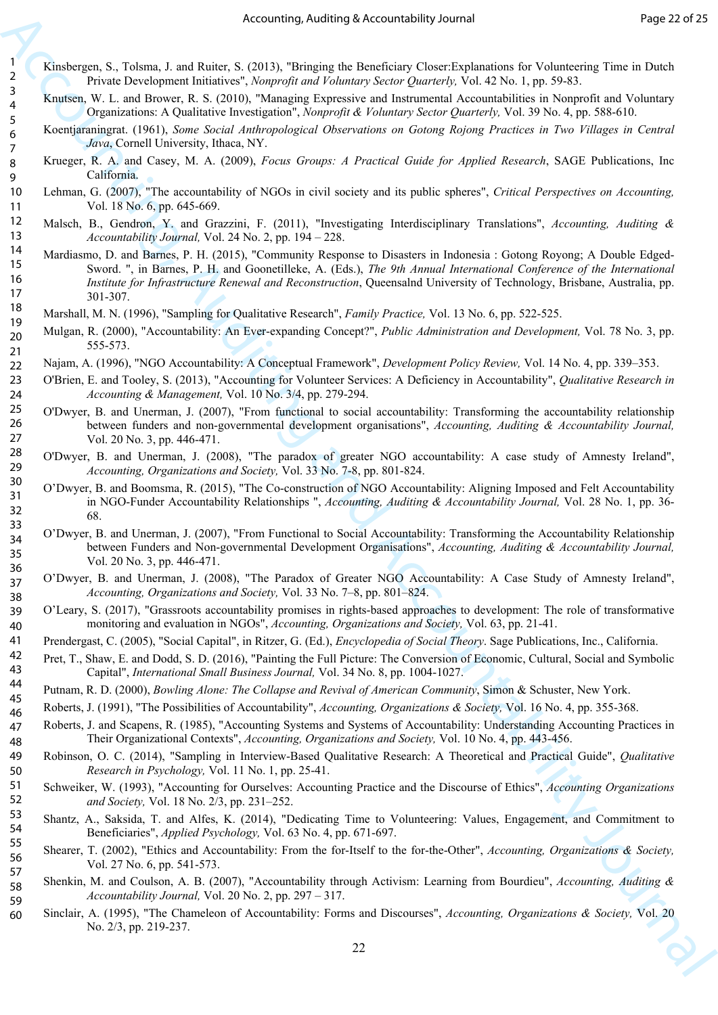- Kinsbergen, S., Tolsma, J. and Ruiter, S. (2013), "Bringing the Beneficiary Closer:Explanations for Volunteering Time in Dutch Private Development Initiatives", *Nonprofit and Voluntary Sector Quarterly,* Vol. 42 No. 1, pp. 59-83.
- Knutsen, W. L. and Brower, R. S. (2010), "Managing Expressive and Instrumental Accountabilities in Nonprofit and Voluntary Organizations: A Qualitative Investigation", *Nonprofit & Voluntary Sector Quarterly,* Vol. 39 No. 4, pp. 588-610.
- Koentjaraningrat. (1961), *Some Social Anthropological Observations on Gotong Rojong Practices in Two Villages in Central Java*, Cornell University, Ithaca, NY.
- Krueger, R. A. and Casey, M. A. (2009), *Focus Groups: A Practical Guide for Applied Research*, SAGE Publications, Inc California.
- Lehman, G. (2007), "The accountability of NGOs in civil society and its public spheres", *Critical Perspectives on Accounting,*  Vol. 18 No. 6, pp. 645-669.
- Malsch, B., Gendron, Y. and Grazzini, F. (2011), "Investigating Interdisciplinary Translations", *Accounting, Auditing & Accountability Journal,* Vol. 24 No. 2, pp. 194 – 228.
- Accounting sketch internal and the photon strength of the effect of the sketch of the sketch of the sketch of the sketch of the sketch of the sketch of the sketch of the sketch of the sketch of the sketch of the sketch of Mardiasmo, D. and Barnes, P. H. (2015), "Community Response to Disasters in Indonesia : Gotong Royong; A Double Edged-Sword. ", in Barnes, P. H. and Goonetilleke, A. (Eds.), *The 9th Annual International Conference of the International Institute for Infrastructure Renewal and Reconstruction*, Queensalnd University of Technology, Brisbane, Australia, pp. 301-307.
	- Marshall, M. N. (1996), "Sampling for Qualitative Research", *Family Practice,* Vol. 13 No. 6, pp. 522-525.
	- Mulgan, R. (2000), "Accountability: An Ever-expanding Concept?", *Public Administration and Development,* Vol. 78 No. 3, pp. 555-573. 19 20
	- Najam, A. (1996), "NGO Accountability: A Conceptual Framework", *Development Policy Review,* Vol. 14 No. 4, pp. 339–353. 22
	- O'Brien, E. and Tooley, S. (2013), "Accounting for Volunteer Services: A Deficiency in Accountability", *Qualitative Research in Accounting & Management,* Vol. 10 No. 3/4, pp. 279-294. 23 24
		- O'Dwyer, B. and Unerman, J. (2007), "From functional to social accountability: Transforming the accountability relationship between funders and non-governmental development organisations", *Accounting, Auditing & Accountability Journal,*  Vol. 20 No. 3, pp. 446-471.
	- O'Dwyer, B. and Unerman, J. (2008), "The paradox of greater NGO accountability: A case study of Amnesty Ireland", *Accounting, Organizations and Society,* Vol. 33 No. 7-8, pp. 801-824. 28 29
	- O'Dwyer, B. and Boomsma, R. (2015), "The Co-construction of NGO Accountability: Aligning Imposed and Felt Accountability in NGO-Funder Accountability Relationships ", *Accounting, Auditing & Accountability Journal,* Vol. 28 No. 1, pp. 36- 68. 30 31 32 33
	- O'Dwyer, B. and Unerman, J. (2007), "From Functional to Social Accountability: Transforming the Accountability Relationship between Funders and Non-governmental Development Organisations", *Accounting, Auditing & Accountability Journal,*  Vol. 20 No. 3, pp. 446-471. 34 35 36
	- O'Dwyer, B. and Unerman, J. (2008), "The Paradox of Greater NGO Accountability: A Case Study of Amnesty Ireland", *Accounting, Organizations and Society,* Vol. 33 No. 7–8, pp. 801–824. 37 38
	- O'Leary, S. (2017), "Grassroots accountability promises in rights-based approaches to development: The role of transformative monitoring and evaluation in NGOs", *Accounting, Organizations and Society,* Vol. 63, pp. 21-41. 39 40
	- Prendergast, C. (2005), "Social Capital", in Ritzer, G. (Ed.), *Encyclopedia of Social Theory*. Sage Publications, Inc., California. 41
	- Pret, T., Shaw, E. and Dodd, S. D. (2016), "Painting the Full Picture: The Conversion of Economic, Cultural, Social and Symbolic Capital", *International Small Business Journal,* Vol. 34 No. 8, pp. 1004-1027. 42 43
	- Putnam, R. D. (2000), *Bowling Alone: The Collapse and Revival of American Community*, Simon & Schuster, New York. 44 45
		- Roberts, J. (1991), "The Possibilities of Accountability", *Accounting, Organizations & Society,* Vol. 16 No. 4, pp. 355-368.
	- Roberts, J. and Scapens, R. (1985), "Accounting Systems and Systems of Accountability: Understanding Accounting Practices in Their Organizational Contexts", *Accounting, Organizations and Society,* Vol. 10 No. 4, pp. 443-456. 46 47 48
	- Robinson, O. C. (2014), "Sampling in Interview-Based Qualitative Research: A Theoretical and Practical Guide", *Qualitative Research in Psychology,* Vol. 11 No. 1, pp. 25-41. 49 50
	- Schweiker, W. (1993), "Accounting for Ourselves: Accounting Practice and the Discourse of Ethics", *Accounting Organizations and Society,* Vol. 18 No. 2/3, pp. 231–252. 51 52
	- Shantz, A., Saksida, T. and Alfes, K. (2014), "Dedicating Time to Volunteering: Values, Engagement, and Commitment to Beneficiaries", *Applied Psychology,* Vol. 63 No. 4, pp. 671-697. 53 54 55
	- Shearer, T. (2002), "Ethics and Accountability: From the for-Itself to the for-the-Other", *Accounting, Organizations & Society,*  Vol. 27 No. 6, pp. 541-573. 56 57
	- Shenkin, M. and Coulson, A. B. (2007), "Accountability through Activism: Learning from Bourdieu", *Accounting, Auditing & Accountability Journal,* Vol. 20 No. 2, pp. 297 – 317. 58 59
	- Sinclair, A. (1995), "The Chameleon of Accountability: Forms and Discourses", *Accounting, Organizations & Society,* Vol. 20 No. 2/3, pp. 219-237. 60

21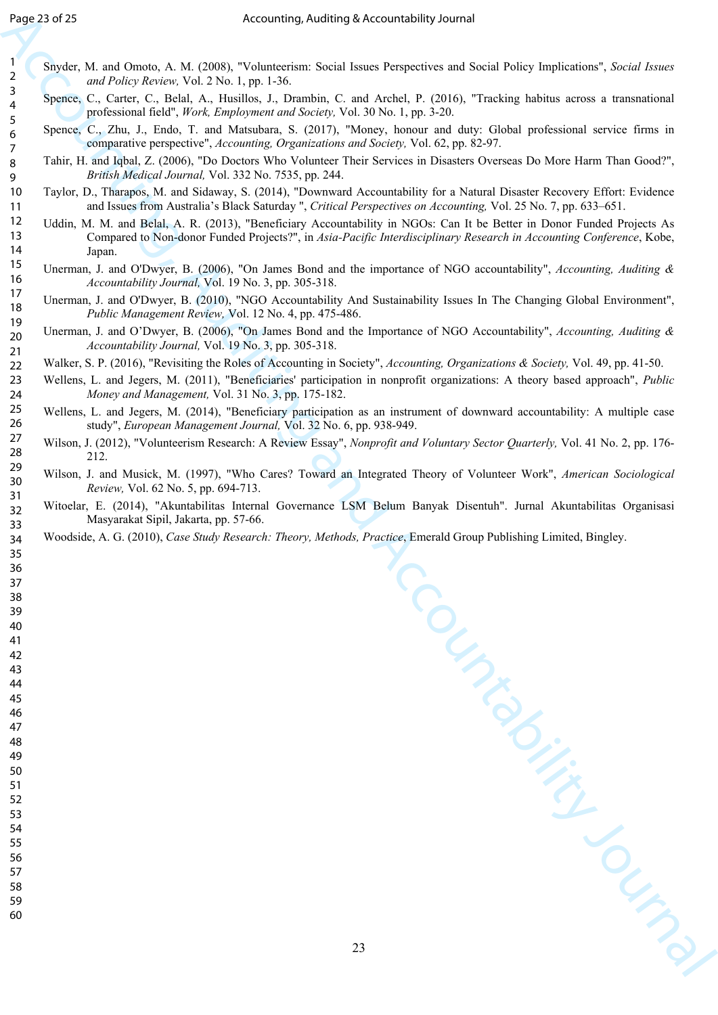- Snyder, M. and Omoto, A. M. (2008), "Volunteerism: Social Issues Perspectives and Social Policy Implications", *Social Issues and Policy Review,* Vol. 2 No. 1, pp. 1-36.
- Spence, C., Carter, C., Belal, A., Husillos, J., Drambin, C. and Archel, P. (2016), "Tracking habitus across a transnational professional field", *Work, Employment and Society,* Vol. 30 No. 1, pp. 3-20.
- Spence, C., Zhu, J., Endo, T. and Matsubara, S. (2017), "Money, honour and duty: Global professional service firms in comparative perspective", *Accounting, Organizations and Society,* Vol. 62, pp. 82-97.
- Tahir, H. and Iqbal, Z. (2006), "Do Doctors Who Volunteer Their Services in Disasters Overseas Do More Harm Than Good?", *British Medical Journal,* Vol. 332 No. 7535, pp. 244.
- Taylor, D., Tharapos, M. and Sidaway, S. (2014), "Downward Accountability for a Natural Disaster Recovery Effort: Evidence and Issues from Australia's Black Saturday ", *Critical Perspectives on Accounting,* Vol. 25 No. 7, pp. 633–651.
- Accounting Accounting food (1) Accounting the control of the Control of the Control of the Control of the Control of the Control of the Control of the Control of the Control of the Control of the Control of the Control of Uddin, M. M. and Belal, A. R. (2013), "Beneficiary Accountability in NGOs: Can It be Better in Donor Funded Projects As Compared to Non-donor Funded Projects?", in *Asia-Pacific Interdisciplinary Research in Accounting Conference*, Kobe, Japan.
	- Unerman, J. and O'Dwyer, B. (2006), "On James Bond and the importance of NGO accountability", *Accounting, Auditing & Accountability Journal,* Vol. 19 No. 3, pp. 305-318.
	- Unerman, J. and O'Dwyer, B. (2010), "NGO Accountability And Sustainability Issues In The Changing Global Environment", *Public Management Review,* Vol. 12 No. 4, pp. 475-486.
	- Unerman, J. and O'Dwyer, B. (2006), "On James Bond and the Importance of NGO Accountability", *Accounting, Auditing & Accountability Journal,* Vol. 19 No. 3, pp. 305-318.
	- Walker, S. P. (2016), "Revisiting the Roles of Accounting in Society", *Accounting, Organizations & Society,* Vol. 49, pp. 41-50.
	- Wellens, L. and Jegers, M. (2011), "Beneficiaries' participation in nonprofit organizations: A theory based approach", *Public Money and Management,* Vol. 31 No. 3, pp. 175-182.
	- Wellens, L. and Jegers, M. (2014), "Beneficiary participation as an instrument of downward accountability: A multiple case study", *European Management Journal,* Vol. 32 No. 6, pp. 938-949.
	- Wilson, J. (2012), "Volunteerism Research: A Review Essay", *Nonprofit and Voluntary Sector Quarterly,* Vol. 41 No. 2, pp. 176- 212.
	- Wilson, J. and Musick, M. (1997), "Who Cares? Toward an Integrated Theory of Volunteer Work", *American Sociological Review,* Vol. 62 No. 5, pp. 694-713.
	- Witoelar, E. (2014), "Akuntabilitas Internal Governance LSM Belum Banyak Disentuh". Jurnal Akuntabilitas Organisasi Masyarakat Sipil, Jakarta, pp. 57-66.
	- Woodside, A. G. (2010), *Case Study Research: Theory, Methods, Practice*, Emerald Group Publishing Limited, Bingley.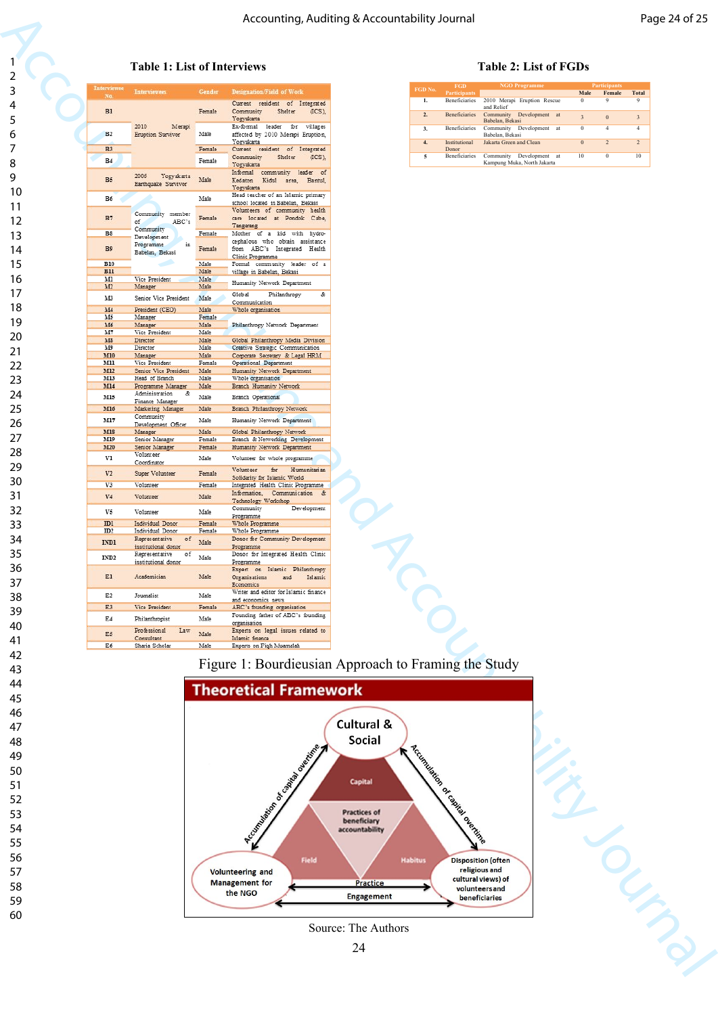#### **Table 1: List of Interviews Table 2: List of FGDs**

|             |                             |                                             |                  |                                                                                 | Accounting, Auditing & Accountability Journal |          |                                         |                                                                         |                                     |                                    | Page 24 of 25                             |  |
|-------------|-----------------------------|---------------------------------------------|------------------|---------------------------------------------------------------------------------|-----------------------------------------------|----------|-----------------------------------------|-------------------------------------------------------------------------|-------------------------------------|------------------------------------|-------------------------------------------|--|
|             |                             |                                             |                  |                                                                                 |                                               |          |                                         |                                                                         |                                     |                                    |                                           |  |
| 1           |                             |                                             |                  |                                                                                 |                                               |          |                                         |                                                                         |                                     |                                    |                                           |  |
| $\mathbf 2$ |                             | <b>Table 1: List of Interviews</b>          |                  |                                                                                 |                                               |          |                                         | <b>Table 2: List of FGDs</b>                                            |                                     |                                    |                                           |  |
| 3           | Interviewee<br>No.          | <b>Interviewees</b>                         | Gender           | <b>Designation/Field of Work</b>                                                |                                               | FGD No   | FGD<br><b>Participants</b>              | <b>NGO Programme</b>                                                    | Male                                | Participants<br>Female             | <b>Total</b>                              |  |
| 4           | B1                          |                                             | Female           | Current resident of Integrated<br>Community<br>Shelter<br>(ICS),                |                                               | 1.       | Beneficiaries                           | 2010 Merapi Eruption Rescue<br>and Relief                               | $\bf{0}$                            | 9                                  | 9                                         |  |
| 5           |                             | 2010<br>Merapi                              |                  | Yogyakarta<br>Ex-formal leader for<br>villages                                  |                                               | 2.<br>3. | Beneficiaries<br>Beneficiaries          | Community Development at<br>Babelan, Bekasi<br>Community Development at | $\overline{\mathbf{3}}$<br>$\bf{0}$ | $\boldsymbol{0}$<br>$\overline{4}$ | $\overline{\mathbf{3}}$<br>$\overline{4}$ |  |
| 6           | B <sub>2</sub>              | Eruption Survivor                           | Male             | affected by 2010 Merapi Eruption.<br>Yogyakarta                                 |                                               | 4.       | Institutional                           | Babelan, Bekasi<br>Jakarta Green and Clean                              | $\boldsymbol{0}$                    | $\overline{2}$                     | $\overline{2}$                            |  |
| 7           | <b>B3</b><br>B <sub>4</sub> |                                             | Female<br>Female | Current resident of Integrated<br>Community<br>Shelter<br>(ICS),                |                                               | 5        | Donor<br>Beneficiaries                  | Community Development at                                                | 10                                  | $\Omega$                           | 10                                        |  |
| 8<br>9      |                             | Yogyakarta<br>2006                          |                  | Yogyakarta<br>Informal community leader of                                      |                                               |          |                                         | Kampung Muka, North Jakarta                                             |                                     |                                    |                                           |  |
| 10          | B5                          | Earthquake Survivor                         | Male             | Kedaton Kidul area, Bantul,<br>Yogyakarta<br>Head teacher of an Islamic primary |                                               |          |                                         |                                                                         |                                     |                                    |                                           |  |
| 11          | B6                          |                                             | Male             | school located in Babelan, Bekasi<br>Volunteers of community health             |                                               |          |                                         |                                                                         |                                     |                                    |                                           |  |
| 12          | B7                          | Community member<br>ABC's<br>of.            | Female           | care located at Pondok Cabe,<br>Tangerang                                       |                                               |          |                                         |                                                                         |                                     |                                    |                                           |  |
| 13          | B8                          | Community<br>Development<br>Programme       | Female           | Mother of a kid with hydro-<br>cephalous who obtain assistance                  |                                               |          |                                         |                                                                         |                                     |                                    |                                           |  |
| 14          | B9                          | in<br>Babelan, Bekasi                       | Female           | from ABC's Integrated Health<br>Clinic Programme                                |                                               |          |                                         |                                                                         |                                     |                                    |                                           |  |
| 15          | <b>B10</b><br><b>B11</b>    |                                             | Male<br>Male     | Formal community leader of a<br>village in Babelan, Bekasi                      |                                               |          |                                         |                                                                         |                                     |                                    |                                           |  |
| 16          | м<br>M2                     | Vice President<br>Manager                   | Male<br>Male     | Humanity Network Department                                                     |                                               |          |                                         |                                                                         |                                     |                                    |                                           |  |
| 17<br>18    | M3                          | Senior Vice President                       | Male             | Global<br>Philanthropy<br>&<br>Communication                                    |                                               |          |                                         |                                                                         |                                     |                                    |                                           |  |
| 19          | M4<br>M5                    | President (CEO)<br>Manager                  | Male<br>Female   | Whole organisation                                                              |                                               |          |                                         |                                                                         |                                     |                                    |                                           |  |
| 20          | M6<br>M7                    | Manager<br>Vice President                   | Male<br>Male     | Philanthropy Network Department                                                 |                                               |          |                                         |                                                                         |                                     |                                    |                                           |  |
| 21          | M8<br>M9                    | Director<br>Director                        | Male<br>Male     | Global Philanthropy Media Division<br>Creative Strategic Communication          |                                               |          |                                         |                                                                         |                                     |                                    |                                           |  |
| 22          | M10<br>MII                  | Manager<br>Vice President                   | Male<br>Female   | Corporate Secretary & Legal HRM<br>Operational Department                       |                                               |          |                                         |                                                                         |                                     |                                    |                                           |  |
| 23          | M12<br>M13                  | Senior Vice President<br>Head of Branch     | Male<br>Male     | Humanity Network Department<br>Whole organisation                               |                                               |          |                                         |                                                                         |                                     |                                    |                                           |  |
| 24          | M14                         | Programme Manager<br>Administration<br>&    | Male             | Branch Humanity Network                                                         |                                               |          |                                         |                                                                         |                                     |                                    |                                           |  |
| 25          | M15<br>M16                  | Finance Manager<br>Marketing Manager        | Male<br>Male     | Branch Operational<br>Branch Philanthropy Network                               |                                               |          |                                         |                                                                         |                                     |                                    |                                           |  |
| 26          | M17                         | Community                                   | Male             | Humanity Network Department                                                     |                                               |          |                                         |                                                                         |                                     |                                    |                                           |  |
| 27          | M18                         | Development Officer<br>Manager              | Male             | Global Philanthropy Network                                                     |                                               |          |                                         |                                                                         |                                     |                                    |                                           |  |
|             | M19<br><b>M20</b>           | Senior Manager<br>Senior Manager            | Female<br>Female | Branch & Networking Development<br>Humanity Network Department                  |                                               |          |                                         |                                                                         |                                     |                                    |                                           |  |
| 28          | V1                          | Volunteer<br>Coordinator                    | Male             | Volunteer for whole programme                                                   |                                               |          |                                         |                                                                         |                                     |                                    |                                           |  |
| 29          | V <sub>2</sub>              | Super Volunteer                             | Female           | Volunteer for Humanitarian<br>Solidarity for Islamic World                      |                                               |          |                                         |                                                                         |                                     |                                    |                                           |  |
| 30          | V3                          | Volunteer                                   | Female           | Integrated Health Clinic Programme<br>Information, Communication &              |                                               |          |                                         |                                                                         |                                     |                                    |                                           |  |
| 31          | V4                          | Volunteer                                   | Male             | Technology Workshop<br>Community<br>Development                                 |                                               |          |                                         |                                                                         |                                     |                                    |                                           |  |
| 32          | V5                          | Volunteer                                   | Male             | Programme                                                                       |                                               |          |                                         |                                                                         |                                     |                                    |                                           |  |
| 33          | ID1<br>ID2                  | Individual Donor<br>Individual Donor        | Female<br>Female | Whole Programme<br>Whole Programme                                              |                                               |          |                                         |                                                                         |                                     |                                    |                                           |  |
| 34          | IND1                        | Representative<br>of<br>institutional donor | Male             | Donor for Community Development<br>Programme                                    |                                               |          |                                         |                                                                         |                                     |                                    |                                           |  |
| 35          | IND <sub>2</sub>            | Representative<br>01<br>institutional donor | Male             | Donor for Integrated Health Clinic<br>Programme                                 |                                               |          |                                         |                                                                         |                                     |                                    |                                           |  |
| 36          | E1                          | Academician                                 | Male             | Expert on Islamic Philanthropy<br>Organisations<br>and<br>Islamic               |                                               |          |                                         |                                                                         |                                     |                                    |                                           |  |
| 37          | E <sub>2</sub>              | Journalist                                  | Male             | Economics<br>Writer and editor for Islamic finance                              |                                               |          |                                         |                                                                         |                                     |                                    |                                           |  |
| 38          | E3                          | Vice President                              | Female           | and economics news<br>ABC's founding organisation                               |                                               |          |                                         |                                                                         |                                     |                                    |                                           |  |
| 39          | E4                          | Philanthropist                              | Male             | Founding father of ABC's founding<br>organisation                               |                                               |          |                                         |                                                                         |                                     |                                    |                                           |  |
| 40          | E5                          | Professional<br>Law<br>Consultant           | Male             | Experts on legal issues related to<br>Islamic finance                           |                                               |          |                                         |                                                                         |                                     |                                    |                                           |  |
| 41          | E6                          | Sharia Scholar                              | Male             | Experts on Fiqh Muamalah                                                        |                                               |          |                                         |                                                                         |                                     |                                    |                                           |  |
| 42          |                             |                                             |                  | Figure 1: Bourdieusian Approach to Framing the Study                            |                                               |          |                                         |                                                                         |                                     |                                    |                                           |  |
| 43          |                             |                                             |                  |                                                                                 |                                               |          |                                         |                                                                         |                                     |                                    |                                           |  |
| 44          |                             |                                             |                  | <b>Theoretical Framework</b>                                                    |                                               |          |                                         |                                                                         |                                     |                                    |                                           |  |
| 45          |                             |                                             |                  |                                                                                 |                                               |          |                                         |                                                                         |                                     |                                    |                                           |  |
| 46          |                             |                                             |                  |                                                                                 | Cultural &                                    |          |                                         |                                                                         |                                     |                                    |                                           |  |
| 47          |                             |                                             |                  |                                                                                 | Social                                        |          |                                         |                                                                         |                                     |                                    |                                           |  |
| 48          |                             |                                             |                  |                                                                                 |                                               |          |                                         |                                                                         |                                     |                                    |                                           |  |
| 49          |                             |                                             |                  |                                                                                 |                                               |          |                                         |                                                                         |                                     |                                    |                                           |  |
| 50          |                             |                                             |                  |                                                                                 | <b>Capital</b>                                |          |                                         |                                                                         |                                     |                                    |                                           |  |
| 51          |                             |                                             |                  |                                                                                 |                                               |          |                                         |                                                                         |                                     |                                    |                                           |  |
| 52          |                             |                                             |                  |                                                                                 |                                               |          |                                         |                                                                         |                                     |                                    |                                           |  |
| 53          |                             |                                             |                  |                                                                                 | <b>Practices of</b><br>beneficiary            |          |                                         |                                                                         |                                     |                                    |                                           |  |
| 54          |                             |                                             |                  |                                                                                 | accountability                                |          |                                         |                                                                         |                                     |                                    |                                           |  |
| 55          |                             |                                             |                  | North Maria Road Contractor Residence                                           |                                               |          | <b>Accination of capital age Ringle</b> |                                                                         |                                     |                                    |                                           |  |
| 56          |                             |                                             |                  | <b>Field</b>                                                                    | <b>Habitus</b>                                |          |                                         | <b>Disposition (often</b>                                               |                                     |                                    |                                           |  |
| 57          |                             |                                             |                  | <b>Volunteering and</b>                                                         |                                               |          |                                         | religious and<br>cultural views) of                                     |                                     |                                    |                                           |  |
| 58          |                             |                                             |                  | <b>Management</b> for<br>the NGO                                                | <b>Practice</b><br><b>Engagement</b>          |          |                                         | volunteers and                                                          |                                     |                                    |                                           |  |
| 59          |                             |                                             |                  |                                                                                 |                                               |          |                                         | beneficiaries                                                           |                                     |                                    |                                           |  |
| 60          |                             |                                             |                  |                                                                                 |                                               |          |                                         |                                                                         |                                     |                                    |                                           |  |
|             |                             |                                             |                  |                                                                                 | Source: The Authors                           |          |                                         |                                                                         |                                     |                                    |                                           |  |
|             |                             |                                             |                  |                                                                                 | 24                                            |          |                                         |                                                                         |                                     |                                    |                                           |  |
|             |                             |                                             |                  |                                                                                 |                                               |          |                                         |                                                                         |                                     |                                    | Latin                                     |  |

| <b>FGD</b><br>FGD No. |                        | <b>NGO Programme</b>                                          |          | <b>Participants</b> |                |  |  |
|-----------------------|------------------------|---------------------------------------------------------------|----------|---------------------|----------------|--|--|
|                       | <b>Participants</b>    |                                                               | Male     | Female              | <b>Total</b>   |  |  |
| 1.                    | <b>Beneficiaries</b>   | 2010 Merapi Eruption Rescue<br>and Relief                     | $\theta$ | 9                   | 9              |  |  |
| 2.                    | <b>Beneficiaries</b>   | Development<br>Community<br>at<br>Babelan, Bekasi             | 3        | $\Omega$            | 3              |  |  |
| 3.                    | <b>Beneficiaries</b>   | Development<br>Community<br>at<br>Babelan, Bekasi             | 0        | 4                   |                |  |  |
| $\overline{4}$ .      | Institutional<br>Donor | Jakarta Green and Clean                                       | $\Omega$ | $\mathcal{D}$       | $\mathfrak{D}$ |  |  |
| 5                     | <b>Beneficiaries</b>   | Development<br>Community<br>at<br>Kampung Muka, North Jakarta | 10       | $\Omega$            | 10             |  |  |



Source: The Authors